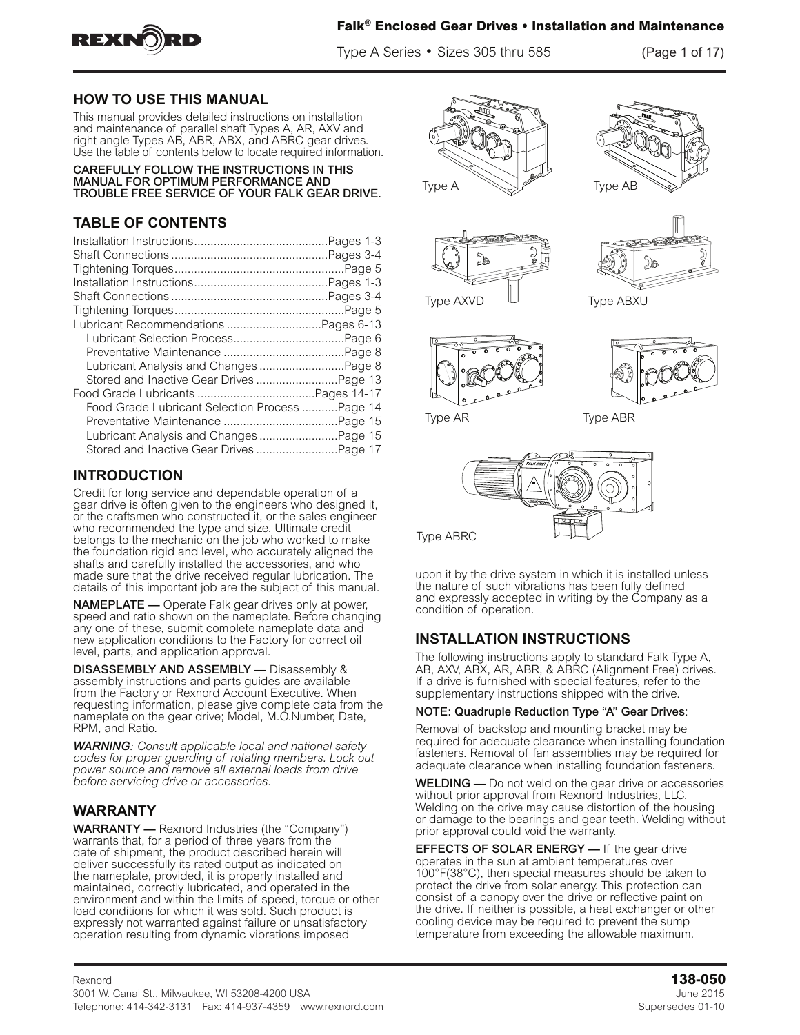

Type A Series • Sizes 305 thru 585 (Page 1 of 17)

### **HOW TO USE THIS MANUAL**

This manual provides detailed instructions on installation and maintenance of parallel shaft Types A, AR, AXV and right angle Types AB, ABR, ABX, and ABRC gear drives. Use the table of contents below to locate required information.

CAREFULLY FOLLOW THE INSTRUCTIONS IN THIS MANUAL FOR OPTIMUM PERFORMANCE AND TROUBLE FREE SERVICE OF YOUR FALK GEAR DRIVE.

## **TABLE OF CONTENTS**

| Lubricant Analysis and Changes  Page 8         |
|------------------------------------------------|
|                                                |
|                                                |
| Food Grade Lubricant Selection Process Page 14 |
|                                                |
| Lubricant Analysis and Changes Page 15         |
| Stored and Inactive Gear Drives Page 17        |
|                                                |

## **INTRODUCTION**

Credit for long service and dependable operation of a gear drive is often given to the engineers who designed it, or the craftsmen who constructed it, or the sales engineer who recommended the type and size. Ultimate credit belongs to the mechanic on the job who worked to make the foundation rigid and level, who accurately aligned the shafts and carefully installed the accessories, and who made sure that the drive received regular lubrication. The details of this important job are the subject of this manual.

NAMEPLATE — Operate Falk gear drives only at power, speed and ratio shown on the nameplate. Before changing any one of these, submit complete nameplate data and new application conditions to the Factory for correct oil level, parts, and application approval.

DISASSEMBLY AND ASSEMBLY - Disassembly & assembly instructions and parts guides are available from the Factory or Rexnord Account Executive. When requesting information, please give complete data from the nameplate on the gear drive; Model, M.O.Number, Date, RPM, and Ratio.

*WARNING: Consult applicable local and national safety codes for proper guarding of rotating members. Lock out power source and remove all external loads from drive before servicing drive or accessories*.

## **WARRANTY**

WARRANTY — Rexnord Industries (the "Company") warrants that, for a period of three years from the date of shipment, the product described herein will deliver successfully its rated output as indicated on the nameplate, provided, it is properly installed and maintained, correctly lubricated, and operated in the environment and within the limits of speed, torque or other load conditions for which it was sold. Such product is expressly not warranted against failure or unsatisfactory operation resulting from dynamic vibrations imposed













Type AR Type ABR



Type ABRC

upon it by the drive system in which it is installed unless the nature of such vibrations has been fully defined and expressly accepted in writing by the Company as a condition of operation.

## **INSTALLATION INSTRUCTIONS**

The following instructions apply to standard Falk Type A, AB, AXV, ABX, AR, ABR, & ABRC (Alignment Free) drives. If a drive is furnished with special features, refer to the supplementary instructions shipped with the drive.

### NOTE: Quadruple Reduction Type "A" Gear Drives:

Removal of backstop and mounting bracket may be required for adequate clearance when installing foundation fasteners. Removal of fan assemblies may be required for adequate clearance when installing foundation fasteners.

WELDING — Do not weld on the gear drive or accessories without prior approval from Rexnord Industries, LLC. Welding on the drive may cause distortion of the housing or damage to the bearings and gear teeth. Welding without prior approval could void the warranty.

**EFFECTS OF SOLAR ENERGY** - If the gear drive operates in the sun at ambient temperatures over 100°F(38°C), then special measures should be taken to protect the drive from solar energy. This protection can consist of a canopy over the drive or reflective paint on the drive. If neither is possible, a heat exchanger or other cooling device may be required to prevent the sump temperature from exceeding the allowable maximum.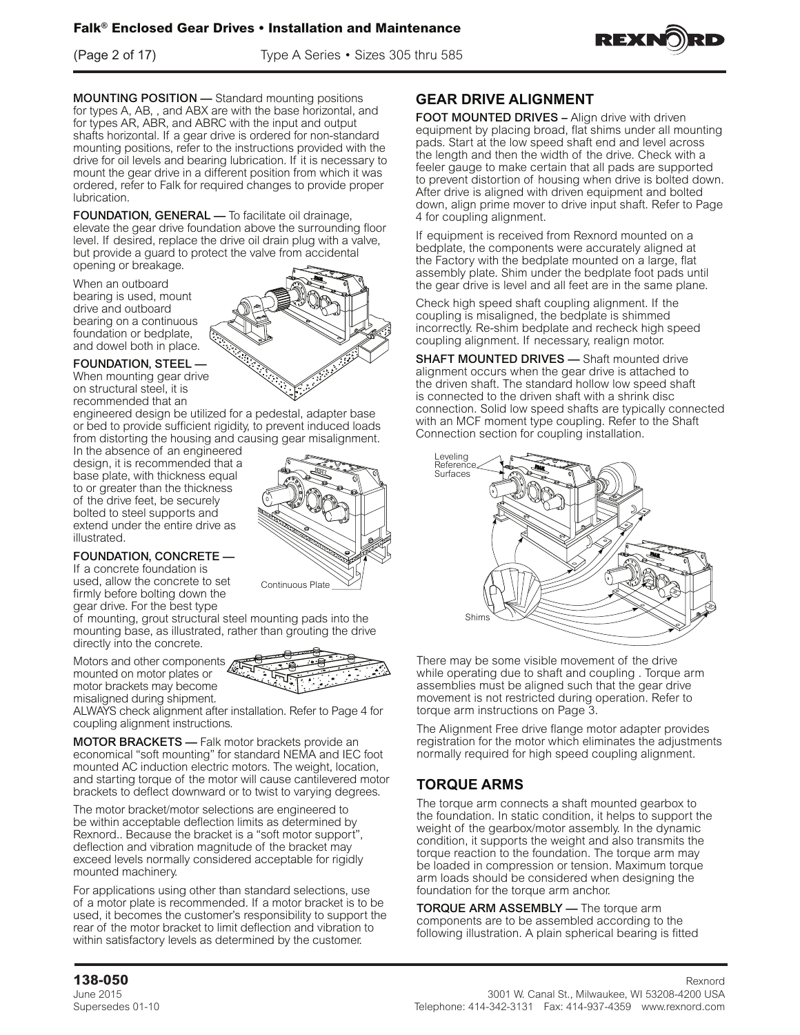(Page 2 of 17) Type A Series • Sizes 305 thru 585



MOUNTING POSITION — Standard mounting positions for types A, AB, , and ABX are with the base horizontal, and for types AR, ABR, and ABRC with the input and output shafts horizontal. If a gear drive is ordered for non-standard mounting positions, refer to the instructions provided with the drive for oil levels and bearing lubrication. If it is necessary to mount the gear drive in a different position from which it was ordered, refer to Falk for required changes to provide proper lubrication.

FOUNDATION, GENERAL — To facilitate oil drainage, elevate the gear drive foundation above the surrounding floor level. If desired, replace the drive oil drain plug with a valve, but provide a guard to protect the valve from accidental opening or breakage.

When an outboard bearing is used, mount drive and outboard bearing on a continuous foundation or bedplate, and dowel both in place.

### FOUNDATION, STEEL —

When mounting gear drive on structural steel, it is recommended that an

engineered design be utilized for a pedestal, adapter base or bed to provide sufficient rigidity, to prevent induced loads from distorting the housing and causing gear misalignment.

In the absence of an engineered design, it is recommended that a base plate, with thickness equal to or greater than the thickness of the drive feet, be securely bolted to steel supports and extend under the entire drive as illustrated.



### FOUNDATION, CONCRETE —

If a concrete foundation is used, allow the concrete to set firmly before bolting down the gear drive. For the best type

of mounting, grout structural steel mounting pads into the mounting base, as illustrated, rather than grouting the drive directly into the concrete.

Motors and other components mounted on motor plates or motor brackets may become misaligned during shipment.



ALWAYS check alignment after installation. Refer to Page 4 for coupling alignment instructions.

MOTOR BRACKETS — Falk motor brackets provide an economical "soft mounting" for standard NEMA and IEC foot mounted AC induction electric motors. The weight, location, and starting torque of the motor will cause cantilevered motor brackets to deflect downward or to twist to varying degrees.

The motor bracket/motor selections are engineered to be within acceptable deflection limits as determined by Rexnord.. Because the bracket is a "soft motor support", deflection and vibration magnitude of the bracket may exceed levels normally considered acceptable for rigidly mounted machinery.

For applications using other than standard selections, use of a motor plate is recommended. If a motor bracket is to be used, it becomes the customer's responsibility to support the rear of the motor bracket to limit deflection and vibration to within satisfactory levels as determined by the customer.

## **GEAR DRIVE ALIGNMENT**

FOOT MOUNTED DRIVES - Align drive with driven equipment by placing broad, flat shims under all mounting pads. Start at the low speed shaft end and level across the length and then the width of the drive. Check with a feeler gauge to make certain that all pads are supported to prevent distortion of housing when drive is bolted down. After drive is aligned with driven equipment and bolted down, align prime mover to drive input shaft. Refer to Page 4 for coupling alignment.

If equipment is received from Rexnord mounted on a bedplate, the components were accurately aligned at the Factory with the bedplate mounted on a large, flat assembly plate. Shim under the bedplate foot pads until the gear drive is level and all feet are in the same plane.

Check high speed shaft coupling alignment. If the coupling is misaligned, the bedplate is shimmed incorrectly. Re-shim bedplate and recheck high speed coupling alignment. If necessary, realign motor.

**SHAFT MOUNTED DRIVES** - Shaft mounted drive alignment occurs when the gear drive is attached to the driven shaft. The standard hollow low speed shaft is connected to the driven shaft with a shrink disc connection. Solid low speed shafts are typically connected with an MCF moment type coupling. Refer to the Shaft Connection section for coupling installation.



There may be some visible movement of the drive while operating due to shaft and coupling . Torque arm assemblies must be aligned such that the gear drive movement is not restricted during operation. Refer to torque arm instructions on Page 3.

The Alignment Free drive flange motor adapter provides registration for the motor which eliminates the adjustments normally required for high speed coupling alignment.

## **TORQUE ARMS**

The torque arm connects a shaft mounted gearbox to the foundation. In static condition, it helps to support the weight of the gearbox/motor assembly. In the dynamic condition, it supports the weight and also transmits the torque reaction to the foundation. The torque arm may be loaded in compression or tension. Maximum torque arm loads should be considered when designing the foundation for the torque arm anchor.

**TORQUE ARM ASSEMBLY** — The torque arm components are to be assembled according to the following illustration. A plain spherical bearing is fitted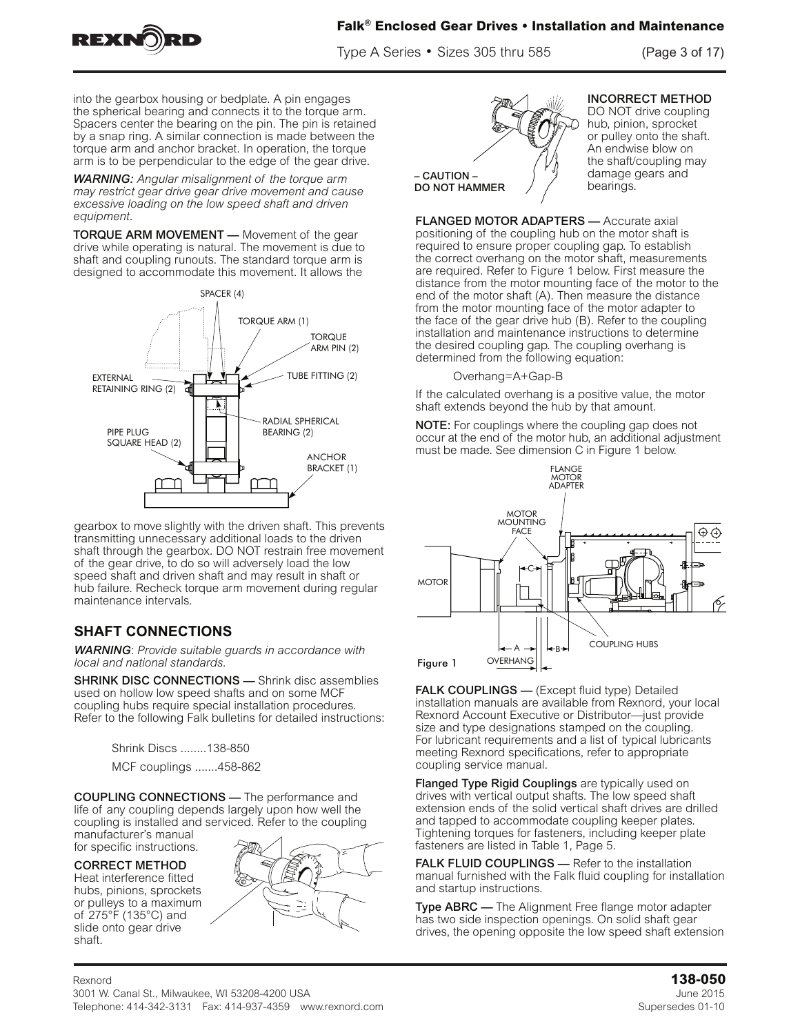

Type A Series • Sizes 305 thru 585

 $p_{\text{max}}$  $(Page 3 of 1)$ 

into the gearbox housing or bedplate. A pin engages and the gearbox housing or beuplate. A pin engages<br>the spherical bearing and connects it to the torque arm. and spinched beaming and connects it to the torque arm.<br>Spacers center the bearing on the pin. The pin is retained by a snap ring. A similar connection is made between the torque arm and anchor bracket. In operation, the torque arm is to be perpendicular to the edge of the gear drive.

are to be assembled according to the following interaction. Assembly, the following interaction. Assembly,  $\alpha$ 

torque arm is to be perpendicular to the edge of the gear

**WARNING:** Angular misalignment of the torque arm *may restrict gear drive gear drive movement and cause* excessive loading on the low speed shaft and driven **equipment.** ward and a model in the gearbox to the conque and course.

**TORQUE ARM MOVEMENT** — Movement of the gear drive while operating is natural. The movement is due to shaft and coupling runouts. The standard torque arm is and the coapling randate. The standard terque drimes<br>designed to accommodate this movement. It allows the  **IF ARM MOVEMENT**  $\_\,$  **Movement of the gear** coupling running running running to the standard to the get  $P$ 



gearbox to move slightly with the driven shaft. This prevents transmitting unnecessary additional loads to the driven shaft through the gearbox. DO NOT restrain free movement shalt imough the gearbox. DO NOT restrain free movem<br>of the gear drive, to do so will adversely load the low speed shaft and driven shaft and may result in shaft or speed shart and driven shart and may result in shart or<br>hub failure. Recheck torque arm movement during regular maintenance intervals. of the geal drive, to do so will adversely load the low<br>appeal shaft and driven shaft and movimeult in shaft at hub failure. Recheck torque arm movement during<br>maintenance intervals. shait through the gearb<br>of the gear drive to do

## **SHAFT CONNECTIONS**

**WARNING**: Provide suitable guards in accordance with *local and national standards. and national standards.*

Sucar and national standards.<br>
SHRINK DISC CONNECTIONS — Shrink disc assemblies **used on hollow low speed shafts and on some MCF** coupling hubs require special installation procedures. Following Falk bulletins for detailed instructions:<br>Refer to the following Falk bulletins for detailed instructions: **K DISC CONNECTIONS — Shrink distring the Solid Exercise** rof and the following transferred for detailed medidelene.

Shrink Discs ........138-850 Shrink Discs ........ 138-850 MCF couplings .......458-862  $0.000$ -000 ........  $0.300$ -000  $\sim$ installed and service to the coupling manufacturer to the coupling manufacturer  $\sim$ minik Discs ........ 138-

**COUPLING CONNECTIONS** — The performance and life of any coupling depends largely upon how well the coupling is installed and serviced. Refer to the coupling manufacturer's manual

for specific instructions.

CORRECT METHOD

Heat interference fitted hubs, pinions, sprockets or pulleys to a maximum of 275°F (135°C) and slide onto gear drive shaft.  $T_{\text{S}}$ 



e-mail: info@rexnord.com web: www.rexnord.com Supersedes 11-09



**INCORRECT METHOD** INCORRECT METHOD

CORRECT METHOD

onto gear drive shaft.

DO NOT drive coupling hub, pinion, sprocket or pulley onto the shaft. An endwise blow on the shaft/coupling may damage gears and bearings.

FLANGED MOTOR ADAPTERS - Accurate axial **EXISTED MOTOR ADAPTERS** TRIVIAL ADAPTERS AND TRIVIAL AND POSITION ADAPTERS ON A LIGHT OF A LIGHT ON THE POSITION OF A LIGHT OF A LIGHT OF A LIGHT OF A LIGHT OF A LIGHT OF A LIGHT OF A LIGHT OF A LIGHT OF A LIGHT OF A LIGH positioning or the coupling hub on the motor shart is required to ensure proper coupling gap. To establish required to ensure proper coupling gap. To establish the correct overhang on the motor shaft, measurements are required. Refer to Figure 1 below. First measure the distance from the motor mounting face of the motor to the end of the motor shaft (A). Then measure the distance from the motor mounting face of the motor adapter to  $f(x)$  on the motor shaft is required to the face of the gear drive hub (B). Refer to the coupling<br>installation and mointenance instructions to determine installation and maintenance instructions to determine mistaliation and maintenance instructions to determine<br>the desired coupling gap. The coupling overhang is determined from the following equation: the desired coupling gap. The coupling overhang is<br>determined from the following equation:

Overhang=A+Gap-B

If the calculated overhang is a positive value, the motor  $\frac{1}{2}$ shaft extends beyond the hub by that amount. If the calculated overhang is a positive value, the motor

NOTE: For couplings where the coupling gap does not occur at the end of the motor hub, an additional adjustment must be made. See dimension C in Figure 1 below. **NOTE:** For couplings where the coupling gap does not occurrently approach the coupling gap does not



FALK COUPLINGS — (Except fluid type) Detailed installation manuals are available from Rexnord, your local installation manuals are available from Rexnord, your local Rexnord Account Executive or Distributor—just provide size and type designations stamped on the coupling. For lubricant requirements and a list of typical lubricants meeting Rexnord specifications, refer to appropriate coupling service manual.

Flanged Type Rigid Couplings are typically used on runged type right couplings are typically accommodated and drives with vertical output shafts. The low speed shaft extension ends of the solid vertical shaft drives are drilled and tapped to accommodate coupling keeper plates. Tightening torques for fasteners, including keeper plate fasteners are listed in Table 1, Page 5.

**CORRECT METHOD AND AND AND AND STAFT AREXAL AND COUPLINGS** — Refer to the installation manual furnished with the Falk fluid coupling for installation manual furnished with the Falk fluid coupling for installation hubs, pinions, sprockets and startup instructions.

**Type ABRC** — The Alignment Free flange motor adapter has two side inspection openings. On solid shaft gear slide onto gear drive<br>
Rexnord Industrial Contract Contract Contract Contract Contract Contract Contract Contract Contract Contract Cont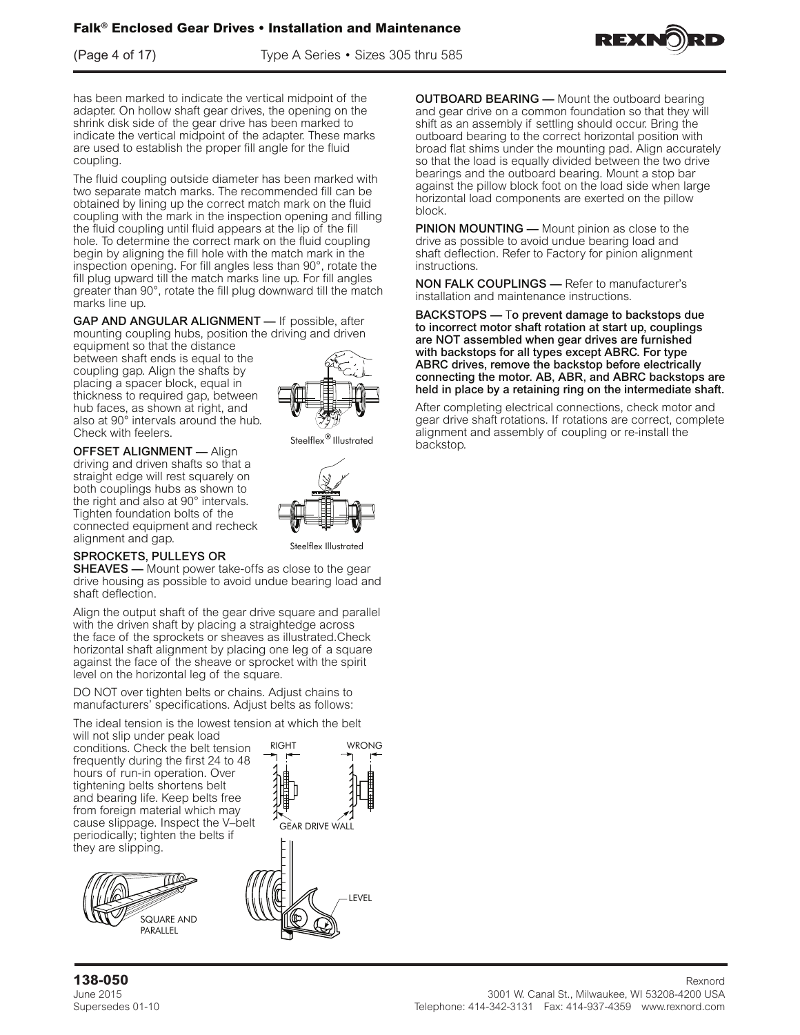$(Page 4 of 17)$ 

(Page 4 of 17) Type A Series • Sizes 305 thru 585  $\frac{1}{2}$  of 11, Sizes 305  $\frac{1}{2}$  sizes 305  $\frac{1}{2}$  sizes 305  $\frac{1}{2}$  sizes 305  $\frac{1}{2}$ 



adapter. On hollow shaft gear drives, the opening on the shrink disk side of the gear drive has been marked to indicate the vertical midpoint of the adapter. These marks are used to establish the proper fill angle for the fluid the side inspection operation operation operation operation operation operation operation operations operation operation operation operation operation operation operation operation operation operation operation operation o has been marked to indicate the vertical midpoint of the proper fille for the fluid coupling.

Type  $\mathcal{A}_\mathcal{A}$  , and  $\mathcal{A}_\mathcal{A}$  are adapted motor adapter has adapted motor adapter has a dapter has a dapter has a dapter has a dapter has a dapter has a dapter has a dapter has a dapter has a dapter has a dapte

The fluid coupling outside diameter has been marked with two separate match marks. The recommended fill can be obtained by lining up the correct match mark on the fluid coupling with the mark in the inspection opening and filling the fluid coupling until fluid appears at the lip of the fill hole. To determine the correct mark on the fluid coupling begin by angling the influid with the match mark in the match opening. For fill angles less than 90°, rotate the mspection opening. For initialigies iess than 90°, rotate the fill plug upward till the match marks line up. For fill angles m plug upwatu in the matermatics me up. For inflangies<br>areater than 90° rotate the fill plug downward till the matel greater than 90°, rotate the fill plug downward till the match marks line up. begin by aligning the fill hole with the match mark in the marks line up.

 $\epsilon$  coupling until fluid appears at the lip of the fill hole. To determine  $\epsilon$ marks and anguLAR ALIGNMENT — If possible, after  $AP$  AND ANGULAR ALIGNMENT  $-$  if possible, and  $P$ 

mounting coupling hubs, position the driving and driven equipment so that the distance  $\overline{\phantom{a}}$ between shaft ends is equal to the  $\frac{1}{2}$ coupling gap. Alight the sharts by<br>placing a spacer block, equal in placing a spacer block, equation  $\Box$ hub faces, as shown at right, and  $\mathbb{W}$  and also at 90° intervals around the hub.  $\Box$   $\Diamond \mathcal{P} \mathcal{Y}$ Check with feelers. coupling gap. Align the shafts by hub faces, as shown at right, and also at 90° intervals around the hub. ionnood to roquirou gup, botwi<br>Ih faces as shown at right an  $\frac{1}{10}$  hub. Coop, as shown at his race.

OFFSET ALIGNMENT — Align of rectricted method will restrict the straight driving and driven shafts so that a and giving and anyon share so that a both couplings hubs as shown to the right and also at 90° intervals. Tighten foundation bolts of the connected equipment and recheck alignment and gap.







Steelflex Illustrated

SPROCKETS, PULLEYS OR

SHEAVES - Mount power take-offs as close to the gear drive housing as possible to avoid undue bearing load and shaft deflection.

Align the output shaft of the gear drive square and parallel with the driven shaft by placing a straightedge across the face of the sprockets or sheaves as illustrated.Check horizontal shaft alignment by placing one leg of a square against the face of the sheave or sprocket with the spirit level on the horizontal leg of the square.

DO NOT over tighten belts or chains. Adjust chains to manufacturers' specifications. Adjust belts as follows:

The ideal tension is the lowest tension at which the belt

shaft alleged to place the legs of the legs of the legs of the will not slip under peak load conditions. Check the belt tension frequently during the first 24 to 48 hours of run-in operation. Over tightening belts shortens belt and bearing life. Keep belts free from foreign material which may cause slippage. Inspect the V–belt periodically; tighten the belts if they are slipping.





RIGHT WRONG

DO NOT over tighten belts or chains. Adjust chains to and gear drive on a common foundation so that they will free from foreign material which may cause slippage. Inspect shift as an assembly if settling should occur. Bring the outboard bearing to the correct horizontal position with outboard bearing to the correct horizontal position with<br>broad flat shims under the mounting pad. Align accurately so that the load is equally divided between the two drive bearings and the outboard bearing. Mount a stop bar <br>correct the critical beat fact on the lead side when leave against the pillow block foot on the load side when large<br>had the mountail large parameters are constant pad. Align allows horizontal load components are exerted on the pillow bearing. OUTBOARD BEARING — Mount the outboard bearing and **OUTBOARD BEARING** — Mount the outboard bearing block. outboard bearing. Mount a stop bar against the pillow block block block block block block block block block block block block block block block block block block block block block block block block block block block block

slip under peak load conditions. Check the belt tension

**PINION MOUNTING** — Mount pinion as close to the distribution as close to the load side when load components of the load side when load side when load side when load components of the load side when load components of the drive as possible to avoid undue bearing load and<br>aboft deflection. Befor to Fester when pillow alimnosco shaft deflection. Refer to Factory for pinion alignment<br>instructions  $\frac{1}{2}$  mounting pad. Align accurately so that the load is that the load is that the load is that the load is the load is the load is the load is the load is the load is the load is the load is the load is the load is t instructions.  $\alpha$  defiered bearing load and shaft definition.

NON FALK COUPLINGS - Refer to manufacturer's installation and maintenance instructions.  $ON$  FALK COUPLINGS — Refer to manufacture

mstallation and malinenance instructions.<br>BACKSTOPS — To prevent damage to backstops due to incorrect motor shaft rotation at start up, couplings are NOT assembled when gear drives are furnished with backstops for all types except ABRC. For type ABRC drives, remove the backstop before electrically **before the motor.** AB, ABR, and ABRC backcrept are held in place by a retaining ring on the intermediate shaft. connecting the motor. AB, ABR, and ABRC backstops are ICKSTOPS — To prevent damage to backs

**backstops are held in place in place by a retaining electrical connections, check motor and intermediate are intermediate** After completing creditions domections, criteral motor and<br>gear drive shaft rotations. If rotations are correct, complete alignment and assembly of coupling or re-install the backstop. **drives are furnished with backstops for all**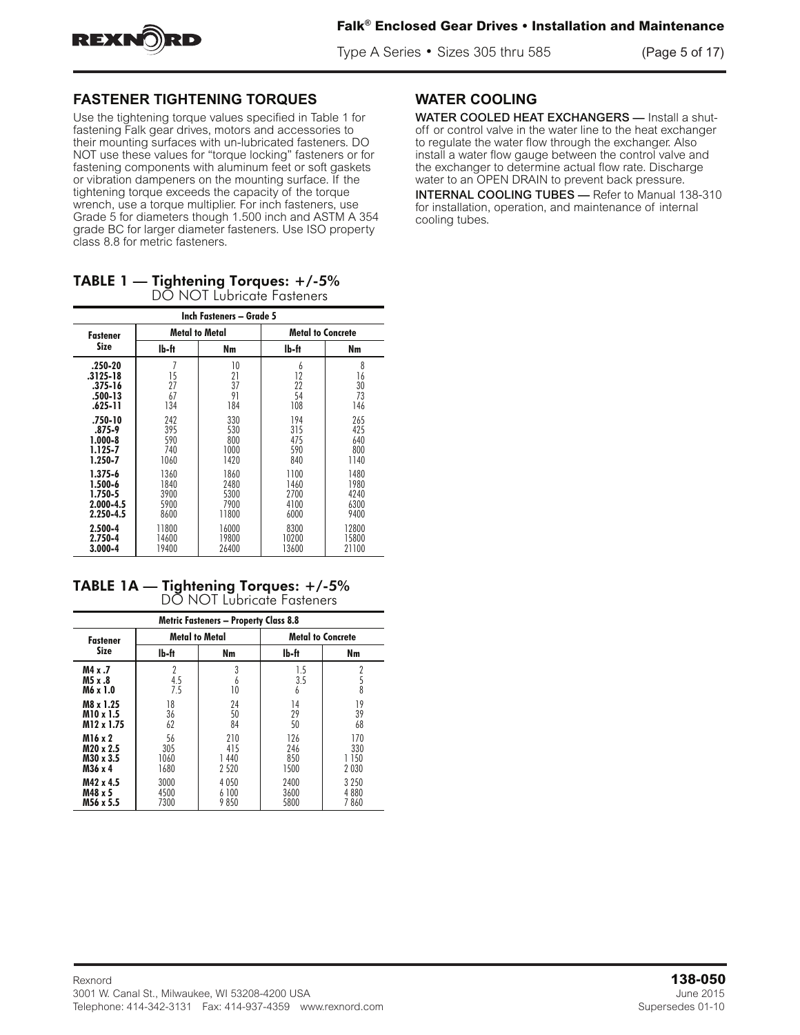

Type A Series • Sizes 305 thru 585 (Page 5 of 17)

# **FASTENER TIGHTENING TORQUES**

Fastener Tightening Torques

Use the tightening torque values specified in Table 1 for fastening Falk gear drives, motors and accessories to restoring Faik gear drives, motors and accessories to<br>their mounting surfaces with un-lubricated fasteners. DO after meaning canadace with all habitation factories. But fastening components with aluminum feet or soft gaskets or vibration dampeners on the mounting surface. If the tightening torque exceeds the capacity of the torque wrench, use a torque multiplier. For inch fasteners, use<br>Grade 5 for diameters though 1.500 inch and ASTM A 35 Grade 5 for diameters though 1.500 inch and ASTM A 354 grade BC for larger diameter fasteners. Use ISO property 354 grade BC for larger diameter fasteners. Use ISO grado Bonor largor diameter racteriors.<br>class 8.8 for metric fasteners. fastening Falk™ gear drives, motors and accessories to use the lightening torque values specified in Table T for<br>fectening Felk good drives, meters and accessories to

| <b>TABLE 1</b> — Tightening Torques: $+/5\%$ |
|----------------------------------------------|
| DO NOT Lubricate Fasteners                   |

| Inch Fasteners - Grade 5 |       |                       |                          |       |  |  |  |
|--------------------------|-------|-----------------------|--------------------------|-------|--|--|--|
| <b>Fastener</b><br>Size  |       | <b>Metal to Metal</b> | <b>Metal to Concrete</b> |       |  |  |  |
|                          | lb-ft | Nm                    | lb-ft                    | Nm    |  |  |  |
| .250-20                  | 7     | 10                    | 6                        | 8     |  |  |  |
| .3125-18                 | 15    | 21                    | 12                       | 16    |  |  |  |
| .375-16                  | 27    | 37                    | 22                       | 30    |  |  |  |
| .500-13                  | 67    | 91                    | 54                       | 73    |  |  |  |
| .625-11                  | 134   | 184                   | 108                      | 146   |  |  |  |
| .750-10                  | 242   | 330                   | 194                      | 265   |  |  |  |
| $.875 - 9$               | 395   | 530                   | 315                      | 425   |  |  |  |
| $1.000 - 8$              | 590   | 800                   | 475                      | 640   |  |  |  |
| 1.125-7                  | 740   | 1000                  | 590                      | 800   |  |  |  |
| 1.250-7                  | 1060  | 1420                  | 840                      | 1140  |  |  |  |
| $1.375 - 6$              | 1360  | 1860                  | 1100                     | 1480  |  |  |  |
| 1.500-6                  | 1840  | 2480                  | 1460                     | 1980  |  |  |  |
| 1.750-5                  | 3900  | 5300                  | 2700                     | 4240  |  |  |  |
| 2.000-4.5                | 5900  | 7900                  | 4100                     | 6300  |  |  |  |
| 2.250-4.5                | 8600  | 11800                 | 6000                     | 9400  |  |  |  |
| 2.500-4                  | 11800 | 16000                 | 8300                     | 12800 |  |  |  |
| 2.750-4                  | 14600 | 19800                 | 10200                    | 15800 |  |  |  |
| 3.000-4                  | 19400 | 26400                 | 13600                    | 21100 |  |  |  |

TABLE 1A — Tightening Torques: +/-5% DO NOT Lubricate Fasteners

| <b>Metric Fasteners - Property Class 8.8</b> |                              |                               |                           |                                |  |  |  |
|----------------------------------------------|------------------------------|-------------------------------|---------------------------|--------------------------------|--|--|--|
| <b>Fastener</b>                              |                              | <b>Metal to Metal</b>         | <b>Metal to Concrete</b>  |                                |  |  |  |
| <b>Size</b>                                  | lb-ft                        | Nm                            | lb-ft                     | Nm                             |  |  |  |
| M4 x .7<br>M5 x .8<br>M6 x 1.0               | $\overline{2}$<br>4.5<br>7.5 | 3<br>b<br>10                  | 1.5<br>3.5<br>6           | 2<br>$\frac{5}{8}$             |  |  |  |
| M8 x 1.25<br>M10 x 1.5<br>M12 x 1.75         | 18<br>36<br>62               | 24<br>50<br>84                | 14<br>29<br>50            | 19<br>39<br>68                 |  |  |  |
| M16 x 2<br>M20 x 2.5<br>M30 x 3.5<br>M36 x 4 | 56<br>305<br>1060<br>1680    | 210<br>415<br>1440<br>2 5 2 0 | 126<br>246<br>850<br>1500 | 170<br>330<br>1 150<br>2 0 3 0 |  |  |  |
| M42 x 4.5<br>M48 x 5<br>M56 x 5.5            | 3000<br>4500<br>7300         | 4 0 5 0<br>6 100<br>9850      | 2400<br>3600<br>5800      | 3 2 5 0<br>4880<br>7860        |  |  |  |

#### $MATED COOLIRC$ **WATER COOLING**

Water Cooling

WATER COOLED HEAT EXCHANGERS — Install a shutoff or control valve in the water line to the heat exchanger to regulate the water flow through the exchanger. Also install a water flow gauge between the control valve and and colonally at a determine actual from rate. Brookings water to an OPEN DRAIN to prevent back pressure. natur to an or EN Brown to protein stash procedits.<br>INTERNAL COOLING TUBES — Refer to Manual 138-310 **ENVAL COOLING TOBLS** — Neter to Manual 150-<br>for installation, operation, and maintenance of internal the exchanger to determine actual flow rate. Discharge cooling tubes.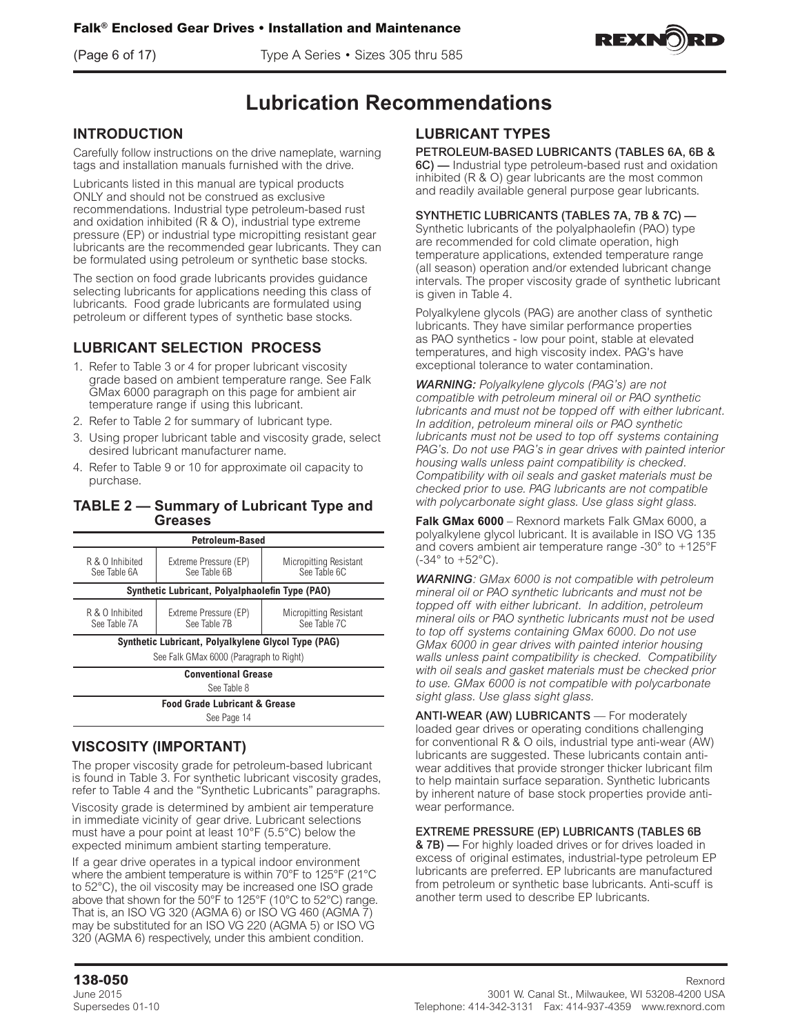(Page 6 of 17) Type A Series • Sizes 305 thru 585



# **Lubrication Recommendations**

## **INTRODUCTION**

Carefully follow instructions on the drive nameplate, warning tags and installation manuals furnished with the drive.

Lubricants listed in this manual are typical products ONLY and should not be construed as exclusive recommendations. Industrial type petroleum-based rust and oxidation inhibited (R & O), industrial type extreme pressure (EP) or industrial type micropitting resistant gear lubricants are the recommended gear lubricants. They can be formulated using petroleum or synthetic base stocks.

The section on food grade lubricants provides guidance selecting lubricants for applications needing this class of lubricants. Food grade lubricants are formulated using petroleum or different types of synthetic base stocks.

## **LUBRICANT SELECTION PROCESS**

- 1. Refer to Table 3 or 4 for proper lubricant viscosity grade based on ambient temperature range. See Falk GMax 6000 paragraph on this page for ambient air temperature range if using this lubricant.
- 2. Refer to Table 2 for summary of lubricant type.
- 3. Using proper lubricant table and viscosity grade, select desired lubricant manufacturer name.
- 4. Refer to Table 9 or 10 for approximate oil capacity to purchase.

### **TABLE 2 — Summary of Lubricant Type and Greases**

| <b>Petroleum-Based</b>                                                                                             |                                                     |                                        |  |  |  |  |
|--------------------------------------------------------------------------------------------------------------------|-----------------------------------------------------|----------------------------------------|--|--|--|--|
| R & O Inhibited<br>See Table 6A                                                                                    | Extreme Pressure (EP)<br>See Table 6B               | Micropitting Resistant<br>See Table 6C |  |  |  |  |
|                                                                                                                    | Synthetic Lubricant, Polyalphaolefin Type (PAO)     |                                        |  |  |  |  |
| R & O Inhibited<br>Extreme Pressure (EP)<br>Micropitting Resistant<br>See Table 7C<br>See Table 7B<br>See Table 7A |                                                     |                                        |  |  |  |  |
|                                                                                                                    | Synthetic Lubricant, Polyalkylene Glycol Type (PAG) |                                        |  |  |  |  |
|                                                                                                                    | See Falk GMax 6000 (Paragraph to Right)             |                                        |  |  |  |  |
|                                                                                                                    | <b>Conventional Grease</b>                          |                                        |  |  |  |  |
| See Table 8                                                                                                        |                                                     |                                        |  |  |  |  |
| <b>Food Grade Lubricant &amp; Grease</b>                                                                           |                                                     |                                        |  |  |  |  |
| See Page 14                                                                                                        |                                                     |                                        |  |  |  |  |

## **VISCOSITY (IMPORTANT)**

The proper viscosity grade for petroleum-based lubricant is found in Table 3. For synthetic lubricant viscosity grades, refer to Table 4 and the "Synthetic Lubricants" paragraphs.

Viscosity grade is determined by ambient air temperature in immediate vicinity of gear drive. Lubricant selections must have a pour point at least 10°F (5.5°C) below the expected minimum ambient starting temperature.

If a gear drive operates in a typical indoor environment where the ambient temperature is within 70°F to 125°F (21°C to 52°C), the oil viscosity may be increased one ISO grade above that shown for the 50°F to 125°F (10°C to 52°C) range. That is, an ISO VG 320 (AGMA 6) or ISO VG 460 (AGMA 7) may be substituted for an ISO VG 220 (AGMA 5) or ISO VG 320 (AGMA 6) respectively, under this ambient condition.

## **LUBRICANT TYPES**

### PETROLEUM-BASED LUBRICANTS (TABLES 6A, 6B &

6C) — Industrial type petroleum-based rust and oxidation inhibited (R & O) gear lubricants are the most common and readily available general purpose gear lubricants.

### SYNTHETIC LUBRICANTS (TABLES 7A, 7B & 7C) —

Synthetic lubricants of the polyalphaolefin (PAO) type are recommended for cold climate operation, high temperature applications, extended temperature range (all season) operation and/or extended lubricant change intervals. The proper viscosity grade of synthetic lubricant is given in Table 4.

Polyalkylene glycols (PAG) are another class of synthetic lubricants. They have similar performance properties as PAO synthetics - low pour point, stable at elevated temperatures, and high viscosity index. PAG's have exceptional tolerance to water contamination.

*WARNING: Polyalkylene glycols (PAG's) are not compatible with petroleum mineral oil or PAO synthetic lubricants and must not be topped off with either lubricant. In addition, petroleum mineral oils or PAO synthetic lubricants must not be used to top off systems containing PAG's. Do not use PAG's in gear drives with painted interior housing walls unless paint compatibility is checked. Compatibility with oil seals and gasket materials must be checked prior to use. PAG lubricants are not compatible with polycarbonate sight glass. Use glass sight glass.*

**Falk GMax 6000** – Rexnord markets Falk GMax 6000, a polyalkylene glycol lubricant. It is available in ISO VG 135 and covers ambient air temperature range -30° to +125°F (-34° to +52°C).

*WARNING: GMax 6000 is not compatible with petroleum mineral oil or PAO synthetic lubricants and must not be topped off with either lubricant. In addition, petroleum mineral oils or PAO synthetic lubricants must not be used to top off systems containing GMax 6000. Do not use GMax 6000 in gear drives with painted interior housing walls unless paint compatibility is checked. Compatibility with oil seals and gasket materials must be checked prior to use. GMax 6000 is not compatible with polycarbonate sight glass. Use glass sight glass.*

ANTI-WEAR (AW) LUBRICANTS - For moderately loaded gear drives or operating conditions challenging for conventional R & O oils, industrial type anti-wear (AW) lubricants are suggested. These lubricants contain antiwear additives that provide stronger thicker lubricant film to help maintain surface separation. Synthetic lubricants by inherent nature of base stock properties provide antiwear performance.

### EXTREME PRESSURE (EP) LUBRICANTS (TABLES 6B

**& 7B)** — For highly loaded drives or for drives loaded in excess of original estimates, industrial-type petroleum EP lubricants are preferred. EP lubricants are manufactured from petroleum or synthetic base lubricants. Anti-scuff is another term used to describe EP lubricants.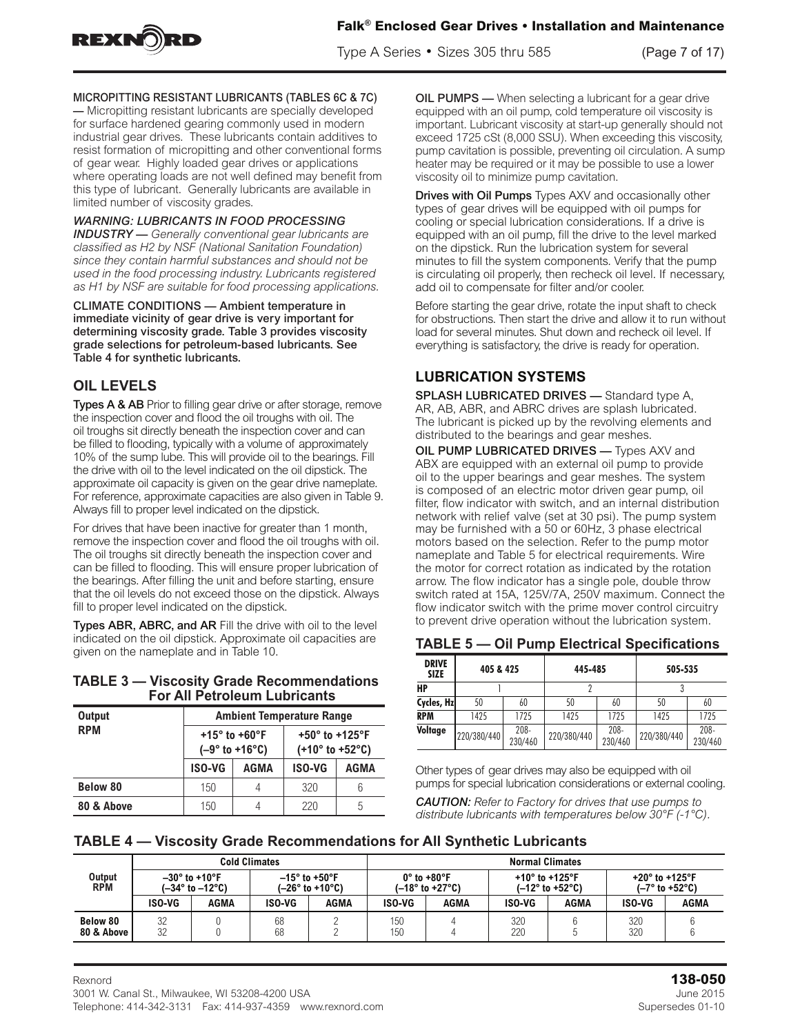

Type A Series • Sizes 305 thru 585 (Page 7 of 17)

### MICROPITTING RESISTANT LUBRICANTS (TABLES 6C & 7C)

— Micropitting resistant lubricants are specially developed for surface hardened gearing commonly used in modern industrial gear drives. These lubricants contain additives to resist formation of micropitting and other conventional forms of gear wear. Highly loaded gear drives or applications where operating loads are not well defined may benefit from this type of lubricant. Generally lubricants are available in limited number of viscosity grades.

# warning: LUBRICANTS IN FOOD PROCESSING

**INDUSTRY** - Generally conventional gear lubricants are classified as H2 by NSF (National Sanitation Foundation) since they contain harmful substances and should not be since they contain harmful substances and should not be<br>used in the food processing industry. Lubricants registered<br>as U4 by NSE are suitable factoral processing applications as H1 by NSF are suitable for food processing applications.<br>

CLIMATE CONDITIONS - Ambient temperature in immediate vicinity of gear drive is very important for determining viscosity grade. Table 3 provides viscosity grade selections for petroleum-based lubricants. See<br>Teble 4 for evathetic lubricants Table 4 for synthetic lubricants.

# **PROPERTY CLASS 8.8 for metric fasteners.**

Types A & AB Prior to filling gear drive or after storage, remove the inspection cover and flood the oil troughs with oil. The<br>eil troughs eit directly beneath the inspection on ar and as oil troughs sit directly beneath the inspection cover and can<br>be filled to fleeding, brainelly with a valume of approximately on troughs sit affectly beheart the inspection cover and carr<br>be filled to flooding, typically with a volume of approximately 10% of the sump lube. This will provide oil to the bearings. Fill the drive with oil to the level indicated on the oil dipstick. The concrete to the concrete to the concrete to approximate oil capacity is given on the gear drive nameplate. approximate of capacity is given on the gear drive nameplate.<br>For reference, approximate capacities are also given in Table 9. Always fill to proper level indicated on the dipstick. vays fill to proper level indicated on the dipstick. reference, approximate expensive are also given in task

For drives that have been inactive for greater than 1 month, remove the inspection cover and flood the oil troughs with oil.<br>
The move the inspection cover and flood the oil troughs with oil. The oil troughs sit directly beneath the inspection cover and The oil troughs with one can be filled to flooding. This will ensure proper lubrication of the bearings. After filling the unit and before starting, ensure the seatinger, the number and serve starting, sheard that the officients about exceed those on the alpstick. Time<br>fill to proper level indicated on the dipstick. on doughts sit directly beheath the inspection cover and<br>be filled to flooding. This will ensure proper lubrication  $\sigma$  proper rever indicated on the dipsiton. lowes that have been macuve for greater than 1 month. on troughs sit directly beheath the inspection cover an

mas prepart commenced on the expension<br>Types ABR, ABRC, and AR Fill the drive with oil to the level indicated on the oil dipstick. Approximate oil capacities are<br>indicated on the oil dipstick. Approximate oil capacities are marcared on the on arpendix. Approximate on explosities a<br>given on the nameplate and in Table 10. 1.750-5 3900 5300 2700 4240 2.000-4.5 5900 7900 4100 6300

#### **TABLE 3 – Viscosity Grade Recommendations** *<u>For All Petroleum Lubricants</u>* BLE 3 - Viscosity Grade Recommendation

| <b>Output</b> | <b>Ambient Temperature Range</b> |                                                       |                                                                           |      |  |  |
|---------------|----------------------------------|-------------------------------------------------------|---------------------------------------------------------------------------|------|--|--|
| <b>RPM</b>    |                                  | +15 $^{\circ}$ to +60 $^{\circ}$ F<br>$(-9° to +16°)$ | +50 $^{\circ}$ to +125 $^{\circ}$ F<br>$(+10^{\circ}$ to $+52^{\circ}$ C) |      |  |  |
|               | <b>ISO-VG</b>                    | <b>AGMA</b>                                           | <b>ISO-VG</b>                                                             | AGMA |  |  |
| Below 80      | 150                              | 4                                                     | 320                                                                       | 6    |  |  |
| 80 & Above    | 150                              |                                                       | 220                                                                       | 5    |  |  |
|               |                                  |                                                       |                                                                           |      |  |  |

M5 x 3.5 6 3.5 6 3.5 6 3.5 6 3.5 6 3.5 6 3.5 6 3.5 6 3.5 6 3.5 6 3.5 6 3.5 6 3.5 6 3.5 6 3.5 6 3.5 6 3.5 6 3.5

**OIL PUMPS** — When selecting a lubricant for a gear drive equipped with an oil pump, cold temperature oil viscosity is important. Lubricant viscosity at start-up generally should not **Fall additives to Falk Enclosed 1725 cSt (8,000 SSU). When exceeding this viscosity, and the maintenance of the maintenance of the maintenance of the maintenance of the maintenance of the maintenance of the maintenance o** ain additives to exceed T725 CSt (8,000 SSU). When exceeding this viscosity,<br>Iventional forms bump cavitation is possible, preventing oil circulation. A sump heater may be required or it may be possible to use a lower pplications and the alterniay be required on it may be possible to use a lower<br>hay benefit from society oil to minimize pump cavitation.

> **Drives with Oil Pumps** Types AXV and occasionally other types of gear drives will be equipped with oil pumps for<br>cooling at apocial lubrication considerations. If a drive is types or gear drives will be equipped with oil purrips for<br>cooling or special lubrication considerations. If a drive is equipped with an oil pump, fill the drive to the level marked on the dipstick. Run the lubrication system for several minutes to fill the system components. Verify that the pump is circulating oil properly, then recheck oil level. If necessary, add oil to compensate for filter and/or cooler.

> and an open persure. The man and open to pressure. Boisho starting and goal drive, rotate the linpat shart to shook load for several minutes. Shut down and recheck oil level. If load for several minutes. Only down and recricely of lever.<br>everything is satisfactory, the drive is ready for operation.

## **LUBRICATION SYSTEMS**  Lubrication Systems Lubrication Systems Lubrication Systems

SPLASH LUBRICATED DRIVES — Standard type A, AR, AB, ABR, and ABRC drives are splash lubricated. The lubricant is picked up by the revolving elements and distributed to the bearings and gear meshes. bearings and gear meshes. bearings and gear meshes. bearings and gear meshes.

OIL PUMP LUBRICATED DRIVES — Types AXV and ABX are equipped with an external oil pump to provide be a composed of an anti-composed of processes. The system of the upper bearings and gear meshes. The system is composed of an electric motor driven gear pump, oil filter, flow indicator with switch, and an internal distribution network with relief valve (set at 30 psi). The pump system may be furnished with a 50 or 60Hz, 3 phase electrical motors based on the selection. Refer to the pump motor nameplate and Table 5 for electrical requirements. Wire the motor for correct rotation as indicated by the rotation arrow. The flow indicator has a single pole, double throw switch rated at 15A, 125V/7A, 250V maximum. Connect the flow indicator switch with the prime mover control circuitry to prevent drive operation without the lubrication system.

## TABLE 5 - Oil Pump Electrical Specifications

| <b>DRIVE</b><br><b>SIZE</b> | 405 & 425   |                    | 445-485     |                    | 505-535     |                    |
|-----------------------------|-------------|--------------------|-------------|--------------------|-------------|--------------------|
| HP                          |             |                    |             |                    |             |                    |
| Cycles, Hz                  | 50          | 60                 | 50          | 60                 | 50          | 60                 |
| <b>RPM</b>                  | 1425        | 1725               | 1425        | 1725               | 1425        | 1725               |
| Voltage                     | 220/380/440 | $208 -$<br>230/460 | 220/380/440 | $208 -$<br>230/460 | 220/380/440 | $208 -$<br>230/460 |

Other types of gear drives may also be equipped with oil pumps for special lubrication considerations or external cooling.

.<br>**CAUTION:** Refer to Factory for drives that use pumps to distribute lubricants with temperatures below 30°F (-1°C). cao IIC<br>diatribut *Caution: Refer to Factory for drives that use pumps to*

*Caution: Refer to Factory for drives that use pumps to*

type performance  $\mathcal{L}_\text{max}$  and oxidation in  $\mathcal{L}_\text{max}$  and oxidation in  $\mathcal{L}_\text{max}$ 

For drives operating outside the above temperature range

type petroleum based rust and oxidation inhibited (R & O)

type petroleum based rust and oxidation inhibited (R & O)

**TABLE 4 — Viscosity Grade Recommendations for All Synthetic Lubricants** *distribute lubricants with temperatures below 30°F (-1°C).* M6 x 1.0 7.5 10 6 8 ABLE 4 — Viscosity Grade Recommendations for All Synthetic Lubricants ABLE 4 — Viscosity Grade Recommendations for All Synthetic Lubricants

|                        |          |                                                        | <b>Cold Climates</b>   |                 | <b>Normal Climates</b>      |                                     |                                     |                                     |                                     |                                    |
|------------------------|----------|--------------------------------------------------------|------------------------|-----------------|-----------------------------|-------------------------------------|-------------------------------------|-------------------------------------|-------------------------------------|------------------------------------|
| Output<br><b>RPM</b>   |          | $-30^\circ$ to +10°F<br>$(-34^\circ$ to $-12^\circ$ C) | $-15^{\circ}$ to +50°F | (–26° to +10°C) | $0^\circ$ to +80 $^\circ$ F | $(-18^{\circ}$ to +27 $^{\circ}$ C) | +10 $^{\circ}$ to +125 $^{\circ}$ F | $(-12^{\circ}$ to +52 $^{\circ}$ C) | +20 $^{\circ}$ to +125 $^{\circ}$ F | $(-7^{\circ}$ to +52 $^{\circ}$ C) |
|                        | ISO-VG   | AGMA                                                   | ISO-VG                 | <b>AGMA</b>     | ISO-VG                      | AGMA                                | ISO-VG                              | AGMA                                | <b>ISO-VG</b>                       | AGMA                               |
| Below 80<br>80 & Above | 32<br>32 |                                                        | 68<br>68               |                 | 150<br>150                  |                                     | 320<br>220                          |                                     | 320<br>320                          |                                    |
|                        |          |                                                        |                        |                 |                             |                                     |                                     |                                     |                                     |                                    |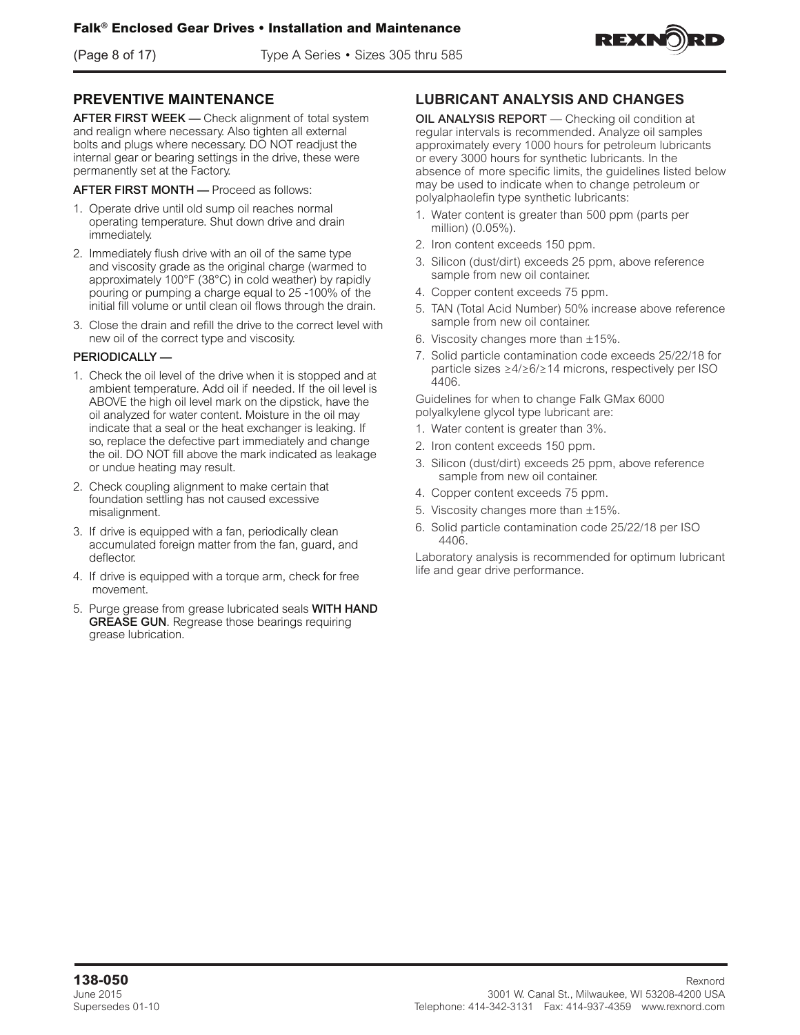(Page 8 of 17) Type A Series • Sizes 305 thru 585



### **PREVENTIVE MAINTENANCE**

AFTER FIRST WEEK - Check alignment of total system and realign where necessary. Also tighten all external bolts and plugs where necessary. DO NOT readjust the internal gear or bearing settings in the drive, these were permanently set at the Factory.

AFTER FIRST MONTH — Proceed as follows:

- 1. Operate drive until old sump oil reaches normal operating temperature. Shut down drive and drain immediately.
- 2. Immediately flush drive with an oil of the same type and viscosity grade as the original charge (warmed to approximately 100°F (38°C) in cold weather) by rapidly pouring or pumping a charge equal to 25 -100% of the initial fill volume or until clean oil flows through the drain.
- 3. Close the drain and refill the drive to the correct level with new oil of the correct type and viscosity.

### PERIODICALLY —

- 1. Check the oil level of the drive when it is stopped and at ambient temperature. Add oil if needed. If the oil level is ABOVE the high oil level mark on the dipstick, have the oil analyzed for water content. Moisture in the oil may indicate that a seal or the heat exchanger is leaking. If so, replace the defective part immediately and change the oil. DO NOT fill above the mark indicated as leakage or undue heating may result.
- 2. Check coupling alignment to make certain that foundation settling has not caused excessive misalignment.
- 3. If drive is equipped with a fan, periodically clean accumulated foreign matter from the fan, guard, and deflector.
- 4. If drive is equipped with a torque arm, check for free movement.
- 5. Purge grease from grease lubricated seals WITH HAND GREASE GUN. Regrease those bearings requiring grease lubrication.

## **LUBRICANT ANALYSIS AND CHANGES**

OIL ANALYSIS REPORT — Checking oil condition at regular intervals is recommended. Analyze oil samples approximately every 1000 hours for petroleum lubricants or every 3000 hours for synthetic lubricants. In the absence of more specific limits, the guidelines listed below may be used to indicate when to change petroleum or polyalphaolefin type synthetic lubricants:

- 1. Water content is greater than 500 ppm (parts per million) (0.05%).
- 2. Iron content exceeds 150 ppm.
- 3. Silicon (dust/dirt) exceeds 25 ppm, above reference sample from new oil container.
- 4. Copper content exceeds 75 ppm.
- 5. TAN (Total Acid Number) 50% increase above reference sample from new oil container.
- 6. Viscosity changes more than  $\pm 15\%$ .
- 7. Solid particle contamination code exceeds 25/22/18 for particle sizes ≥4/≥6/≥14 microns, respectively per ISO 4406.

Guidelines for when to change Falk GMax 6000 polyalkylene glycol type lubricant are:

- 1. Water content is greater than 3%.
- 2. Iron content exceeds 150 ppm.
- 3. Silicon (dust/dirt) exceeds 25 ppm, above reference sample from new oil container.
- 4. Copper content exceeds 75 ppm.
- 5. Viscosity changes more than ±15%.
- 6. Solid particle contamination code 25/22/18 per ISO 4406.

Laboratory analysis is recommended for optimum lubricant life and gear drive performance.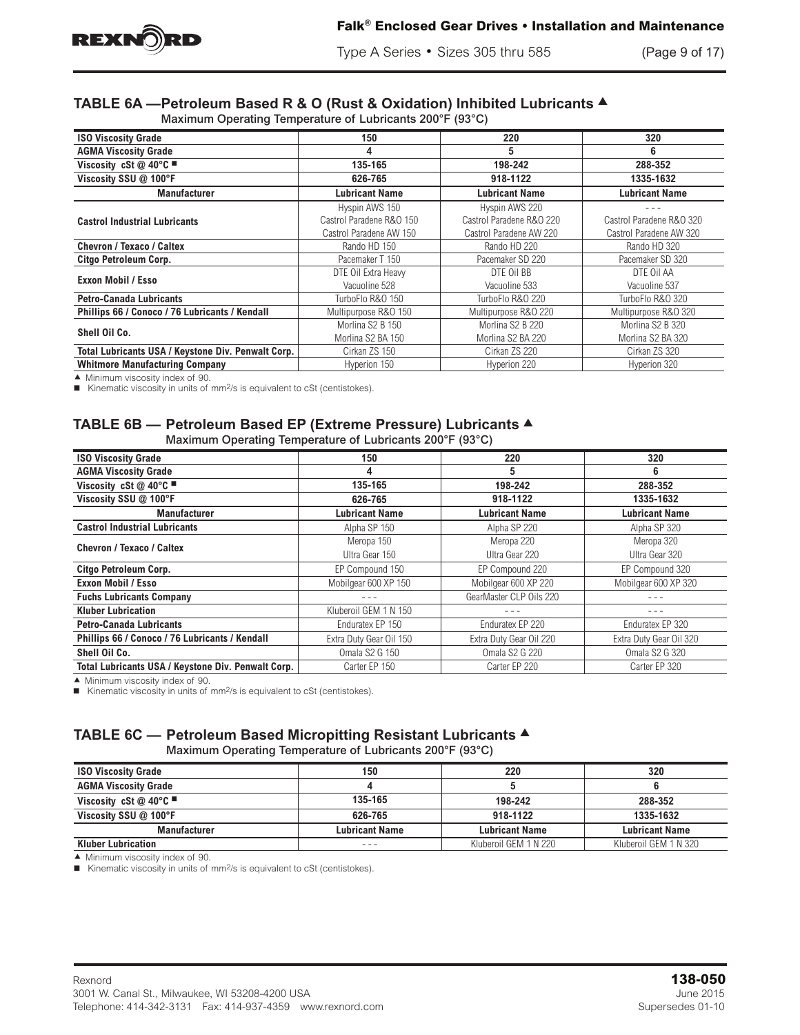

Type A Series • Sizes 305 thru 585 (Page 9 of 17)

# **TABLE 6A -Petroleum Based R & O (Rust & Oxidation) Inhibited Lubricants ▲**

Maximum Operating Temperature of Lubricants 200°F (93°C)

| <b>ISO Viscosity Grade</b>                         | 150                      | 220                      | 320                      |
|----------------------------------------------------|--------------------------|--------------------------|--------------------------|
| <b>AGMA Viscosity Grade</b>                        | 4                        | 5                        | 6                        |
| Viscosity cSt @ 40°C                               | 135-165                  | 198-242                  | 288-352                  |
| Viscosity SSU @ 100°F                              | 626-765                  | 918-1122                 | 1335-1632                |
| <b>Manufacturer</b>                                | <b>Lubricant Name</b>    | <b>Lubricant Name</b>    | <b>Lubricant Name</b>    |
|                                                    | Hyspin AWS 150           | Hyspin AWS 220           |                          |
| <b>Castrol Industrial Lubricants</b>               | Castrol Paradene R&O 150 | Castrol Paradene R&O 220 | Castrol Paradene R&O 320 |
|                                                    | Castrol Paradene AW 150  | Castrol Paradene AW 220  | Castrol Paradene AW 320  |
| Chevron / Texaco / Caltex                          | Rando HD 150             | Rando HD 220             | Rando HD 320             |
| Citgo Petroleum Corp.                              | Pacemaker T 150          | Pacemaker SD 220         | Pacemaker SD 320         |
|                                                    | DTE Oil Extra Heavy      | DTE Oil BB               | DTE Oil AA               |
| Exxon Mobil / Esso                                 | Vacuoline 528            | Vacuoline 533            | Vacuoline 537            |
| <b>Petro-Canada Lubricants</b>                     | TurboFlo R&O 150         | TurboFlo R&O 220         | TurboFlo R&O 320         |
| Phillips 66 / Conoco / 76 Lubricants / Kendall     | Multipurpose R&O 150     | Multipurpose R&O 220     | Multipurpose R&O 320     |
|                                                    | Morlina S2 B 150         | Morlina S2 B 220         | Morlina S2 B 320         |
| Shell Oil Co.                                      | Morlina S2 BA 150        | Morlina S2 BA 220        | Morlina S2 BA 320        |
| Total Lubricants USA / Keystone Div. Penwalt Corp. | Cirkan ZS 150            | Cirkan ZS 220            | Cirkan ZS 320            |
| <b>Whitmore Manufacturing Company</b>              | Hyperion 150             | Hyperion 220             | Hyperion 320             |

 $\blacktriangle$  Minimum viscosity index of 90.

■ Kinematic viscosity in units of mm<sup>2</sup>/s is equivalent to cSt (centistokes).

### **TABLE 6B — Petroleum Based EP (Extreme Pressure) Lubricants ▲** Maximum Operating Temperature of Lubricants 200°F (93°C)

| <b>Maximum Operating Temperature or Editionity 200 1 (30 O)</b> |                         |                         |                         |  |  |  |  |
|-----------------------------------------------------------------|-------------------------|-------------------------|-------------------------|--|--|--|--|
| <b>ISO Viscosity Grade</b>                                      | 150                     | 220                     | 320                     |  |  |  |  |
| <b>AGMA Viscosity Grade</b>                                     | 4                       | 5                       | 6                       |  |  |  |  |
| Viscosity cSt @ 40°C                                            | 135-165                 | 198-242                 | 288-352                 |  |  |  |  |
| Viscosity SSU @ 100°F                                           | 626-765                 | 918-1122                | 1335-1632               |  |  |  |  |
| <b>Manufacturer</b>                                             | <b>Lubricant Name</b>   | <b>Lubricant Name</b>   | <b>Lubricant Name</b>   |  |  |  |  |
| <b>Castrol Industrial Lubricants</b>                            | Alpha SP 150            | Alpha SP 220            | Alpha SP 320            |  |  |  |  |
| <b>Chevron / Texaco / Caltex</b>                                | Meropa 150              | Meropa 220              | Meropa 320              |  |  |  |  |
|                                                                 | Ultra Gear 150          | Ultra Gear 220          | Ultra Gear 320          |  |  |  |  |
| Citgo Petroleum Corp.                                           | EP Compound 150         | EP Compound 220         | EP Compound 320         |  |  |  |  |
| Exxon Mobil / Esso                                              | Mobilgear 600 XP 150    | Mobilgear 600 XP 220    | Mobilgear 600 XP 320    |  |  |  |  |
| <b>Fuchs Lubricants Company</b>                                 |                         | GearMaster CLP Oils 220 |                         |  |  |  |  |
| <b>Kluber Lubrication</b>                                       | Kluberoil GEM 1 N 150   |                         |                         |  |  |  |  |
| <b>Petro-Canada Lubricants</b>                                  | Enduratex EP 150        | Enduratex EP 220        | Enduratex EP 320        |  |  |  |  |
| Phillips 66 / Conoco / 76 Lubricants / Kendall                  | Extra Duty Gear Oil 150 | Extra Duty Gear Oil 220 | Extra Duty Gear Oil 320 |  |  |  |  |
| Shell Oil Co.                                                   | <b>Omala S2 G 150</b>   | <b>Omala S2 G 220</b>   | <b>Omala S2 G 320</b>   |  |  |  |  |
| Total Lubricants USA / Keystone Div. Penwalt Corp.              | Carter EP 150           | Carter EP 220           | Carter EP 320           |  |  |  |  |

 $\blacktriangle$  Minimum viscosity index of 90.

■ Kinematic viscosity in units of mm<sup>2</sup>/s is equivalent to cSt (centistokes).

### **TABLE 6C — Petroleum Based Micropitting Resistant Lubricants ▲** Maximum Operating Temperature of Lubricants 200°F (93°C)

| <b>ISO Viscosity Grade</b>        | 150                   | 220                   | 320                   |
|-----------------------------------|-----------------------|-----------------------|-----------------------|
| <b>AGMA Viscosity Grade</b>       |                       |                       |                       |
| Viscosity cSt @ 40 $^{\circ}$ C = | 135-165               | 198-242               | 288-352               |
| Viscosity SSU @ 100°F             | 626-765               | 918-1122              | 1335-1632             |
| <b>Manufacturer</b>               | <b>Lubricant Name</b> | <b>Lubricant Name</b> | <b>Lubricant Name</b> |
| <b>Kluber Lubrication</b>         | - - -                 | Kluberoil GEM 1 N 220 | Kluberoil GEM 1 N 320 |

 $\blacktriangle$  Minimum viscosity index of 90.

■ Kinematic viscosity in units of mm<sup>2</sup>/s is equivalent to cSt (centistokes).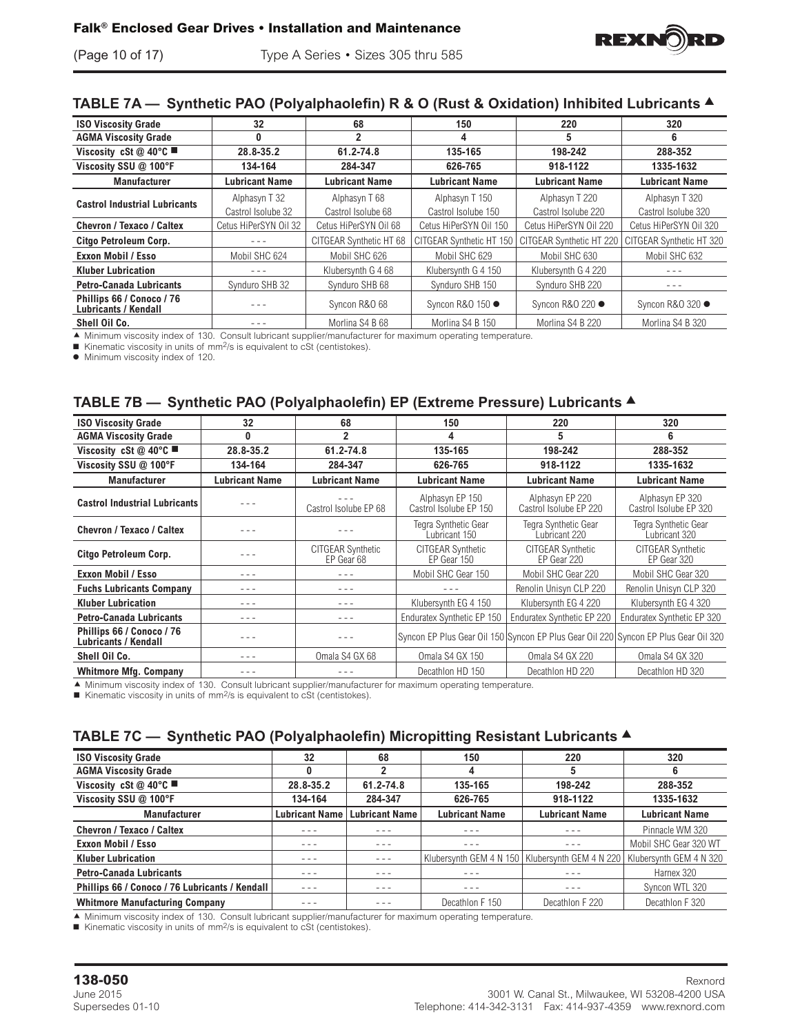

## **TABLE 7A − Synthetic PAO (Polyalphaolefin) R & O (Rust & Oxidation) Inhibited Lubricants ▲**

| <b>ISO Viscosity Grade</b>                               | 32                    | 68                      | 150                      | 220                      | 320                      |
|----------------------------------------------------------|-----------------------|-------------------------|--------------------------|--------------------------|--------------------------|
| <b>AGMA Viscosity Grade</b>                              | 0                     | 2                       | 4                        | 5                        | 6                        |
| Viscosity cSt @ 40°C                                     | 28.8-35.2             | 61.2-74.8               | 135-165                  | 198-242                  | 288-352                  |
| Viscosity SSU @ 100°F                                    | 134-164               | 284-347                 | 626-765                  | 918-1122                 | 1335-1632                |
| <b>Manufacturer</b>                                      | Lubricant Name        | <b>Lubricant Name</b>   | <b>Lubricant Name</b>    | <b>Lubricant Name</b>    | <b>Lubricant Name</b>    |
|                                                          | Alphasyn T 32         | Alphasyn T 68           | Alphasyn T 150           | Alphasyn T 220           | Alphasyn T 320           |
| <b>Castrol Industrial Lubricants</b>                     | Castrol Isolube 32    | Castrol Isolube 68      | Castrol Isolube 150      | Castrol Isolube 220      | Castrol Isolube 320      |
| <b>Chevron / Texaco / Caltex</b>                         | Cetus HiPerSYN Oil 32 | Cetus HiPerSYN Oil 68   | Cetus HiPerSYN Oil 150   | Cetus HiPerSYN Oil 220   | Cetus HiPerSYN Oil 320   |
| Citgo Petroleum Corp.                                    | $- - -$               | CITGEAR Synthetic HT 68 | CITGEAR Synthetic HT 150 | CITGEAR Synthetic HT 220 | CITGEAR Synthetic HT 320 |
| Exxon Mobil / Esso                                       | Mobil SHC 624         | Mobil SHC 626           | Mobil SHC 629            | Mobil SHC 630            | Mobil SHC 632            |
| <b>Kluber Lubrication</b>                                | $- - -$               | Klubersvnth G 4 68      | Klubersvnth G 4 150      | Klubersynth G 4 220      | - - -                    |
| <b>Petro-Canada Lubricants</b>                           | Synduro SHB 32        | Synduro SHB 68          | Synduro SHB 150          | Synduro SHB 220          | - - -                    |
| Phillips 66 / Conoco / 76<br><b>Lubricants / Kendall</b> |                       | Syncon R&O 68           | Syncon R&O 150 ●         | Syncon R&O 220 ●         | Syncon R&O 320 ●         |
| Shell Oil Co.                                            |                       | Morlina S4 B 68         | Morlina S4 B 150         | Morlina S4 B 220         | Morlina S4 B 320         |

A Minimum viscosity index of 130. Consult lubricant supplier/manufacturer for maximum operating temperature.

■ Kinematic viscosity in units of mm<sup>2</sup>/s is equivalent to cSt (centistokes).

 $\bullet$  Minimum viscosity index of 120.

## **TABLE 7B — Synthetic PAO (Polyalphaolefin) EP (Extreme Pressure) Lubricants** s

| <b>ISO Viscosity Grade</b>                               | 32                    | 68                                     | 150                                       | 220                                       | 320                                                                                 |
|----------------------------------------------------------|-----------------------|----------------------------------------|-------------------------------------------|-------------------------------------------|-------------------------------------------------------------------------------------|
| <b>AGMA Viscosity Grade</b>                              | 0                     | $\overline{2}$                         | 4                                         | 5                                         | 6                                                                                   |
| Viscosity cSt @ 40°C<br>61.2-74.8<br>28.8-35.2           |                       | 135-165                                | 198-242                                   | 288-352                                   |                                                                                     |
| Viscosity SSU @ 100°F                                    | 134-164               | 284-347                                | 626-765                                   | 918-1122                                  | 1335-1632                                                                           |
| <b>Manufacturer</b>                                      | <b>Lubricant Name</b> | <b>Lubricant Name</b>                  | <b>Lubricant Name</b>                     | <b>Lubricant Name</b>                     | <b>Lubricant Name</b>                                                               |
| <b>Castrol Industrial Lubricants</b>                     |                       | Castrol Isolube EP 68                  | Alphasyn EP 150<br>Castrol Isolube EP 150 | Alphasyn EP 220<br>Castrol Isolube EP 220 | Alphasyn EP 320<br>Castrol Isolube EP 320                                           |
| <b>Chevron / Texaco / Caltex</b>                         |                       |                                        | Tegra Synthetic Gear<br>Lubricant 150     | Tegra Synthetic Gear<br>Lubricant 220     | Tegra Synthetic Gear<br>Lubricant 320                                               |
| Citgo Petroleum Corp.                                    |                       | <b>CITGEAR Synthetic</b><br>EP Gear 68 | <b>CITGEAR Synthetic</b><br>EP Gear 150   | <b>CITGEAR Synthetic</b><br>EP Gear 220   | <b>CITGEAR Synthetic</b><br>EP Gear 320                                             |
| Exxon Mobil / Esso                                       | - - -                 | - - -                                  | Mobil SHC Gear 150                        | Mobil SHC Gear 220                        | Mobil SHC Gear 320                                                                  |
| <b>Fuchs Lubricants Company</b>                          |                       |                                        |                                           | Renolin Unisyn CLP 220                    | Renolin Unisyn CLP 320                                                              |
| <b>Kluber Lubrication</b>                                | - - -                 | $- - -$                                | Klubersynth EG 4 150                      | Klubersynth EG 4 220                      | Klubersynth EG 4 320                                                                |
| <b>Petro-Canada Lubricants</b>                           | - - -                 | $- - -$                                | Enduratex Synthetic EP 150                | Enduratex Synthetic EP 220                | Enduratex Synthetic EP 320                                                          |
| Phillips 66 / Conoco / 76<br><b>Lubricants / Kendall</b> | - - -                 |                                        |                                           |                                           | Syncon EP Plus Gear Oil 150 Syncon EP Plus Gear Oil 220 Syncon EP Plus Gear Oil 320 |
| Shell Oil Co.                                            | - - -                 | Omala S4 GX 68                         | Omala S4 GX 150                           | Omala S4 GX 220                           | Omala S4 GX 320                                                                     |
| <b>Whitmore Mfg. Company</b>                             |                       |                                        | Decathlon HD 150                          | Decathlon HD 220                          | Decathlon HD 320                                                                    |

c Minimum viscosity index of 130. Consult lubricant supplier/manufacturer for maximum operating temperature.

Kinematic viscosity in units of  $mm^2/s$  is equivalent to cSt (centistokes).

## **TABLE 7C — Synthetic PAO (Polyalphaolefin) Micropitting Resistant Lubricants ▲**

| <b>ISO Viscosity Grade</b>                     | 32                    | 68                    | 150                   | 220                                               | 320                     |
|------------------------------------------------|-----------------------|-----------------------|-----------------------|---------------------------------------------------|-------------------------|
| <b>AGMA Viscosity Grade</b>                    | 0                     | 2                     | 4                     | 5                                                 | 6                       |
| Viscosity cSt @ 40°C $\blacksquare$            | 28.8-35.2             | $61.2 - 74.8$         | 135-165               | 198-242                                           | 288-352                 |
| Viscosity SSU @ 100°F                          | 134-164               | 284-347               | 626-765               | 918-1122                                          | 1335-1632               |
| <b>Manufacturer</b>                            | <b>Lubricant Name</b> | <b>Lubricant Name</b> | <b>Lubricant Name</b> | <b>Lubricant Name</b>                             | <b>Lubricant Name</b>   |
| Chevron / Texaco / Caltex                      | - - -                 | $  -$                 | - - -                 | - - -                                             | Pinnacle WM 320         |
| <b>Exxon Mobil / Esso</b>                      | - - -                 | - - -                 | - - -                 |                                                   | Mobil SHC Gear 320 WT   |
| <b>Kluber Lubrication</b>                      | $- - -$               | $- - -$               |                       | Klubersvnth GEM 4 N 150   Klubersvnth GEM 4 N 220 | Klubersynth GEM 4 N 320 |
| <b>Petro-Canada Lubricants</b>                 | $- - -$               | - - -                 | - - -                 |                                                   | Harnex 320              |
| Phillips 66 / Conoco / 76 Lubricants / Kendall | $- - -$               | $  -$                 | - - -                 | - - -                                             | Syncon WTL 320          |
| <b>Whitmore Manufacturing Company</b>          | - - -                 |                       | Decathlon F 150       | Decathlon F 220                                   | Decathlon F 320         |

c Minimum viscosity index of 130. Consult lubricant supplier/manufacturer for maximum operating temperature.

■ Kinematic viscosity in units of mm<sup>2</sup>/s is equivalent to cSt (centistokes).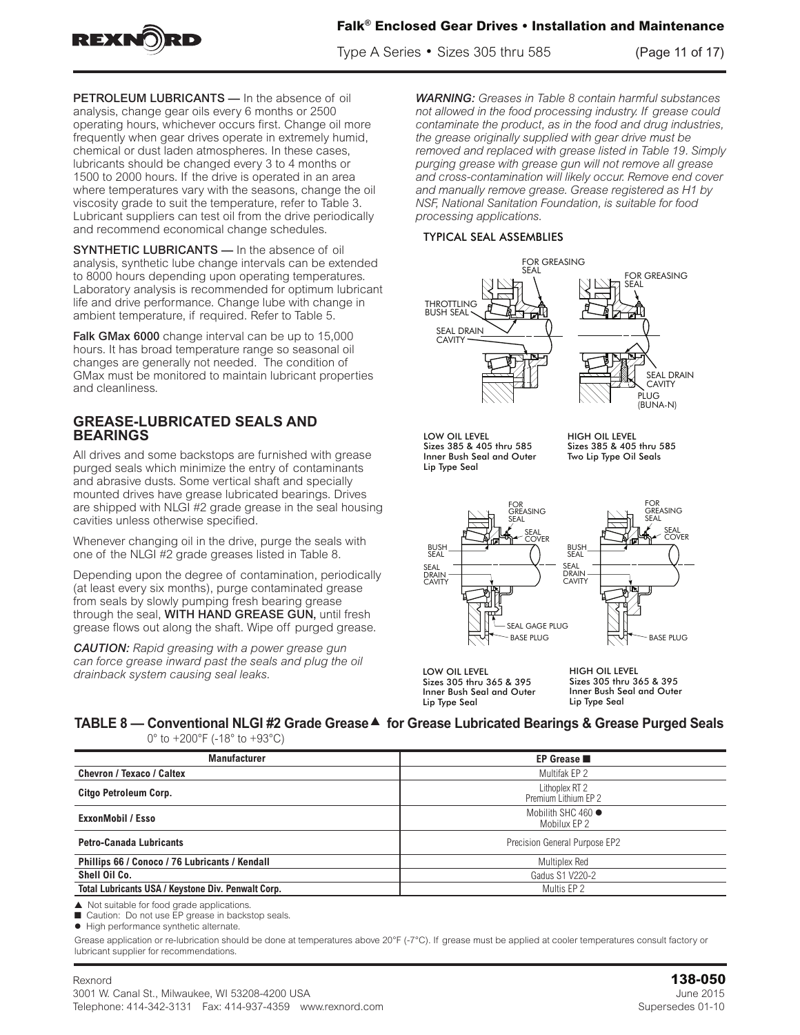

Type A Series • Sizes 305 thru 585 (Page 11 of 17) **Installation and Maintenance Gear Drives Properties** 

PETROLEUM LUBRICANTS - In the absence of oil analysis, change gear oils every 6 months or 2500 operating hours, whichever occurs first. Change oil more frequently when gear drives operate in extremely humid, chemical or dust laden atmospheres. In these cases, lubricants should be changed every 3 to 4 months or 1500 to 2000 hours. If the drive is operated in an area where temperatures vary with the seasons, change the oil viscosity grade to suit the temperature, refer to Table 3. Lubricant suppliers can test oil from the drive periodically and recommend economical change schedules.

SYNTHETIC LUBRICANTS - In the absence of oil analysis, synthetic lube change intervals can be extended to 8000 hours depending upon operating temperatures. Laboratory analysis is recommended for optimum lubricant life and drive performance. Change lube with change in ambient temperature, if required. Refer to Table 5.

Falk GMax 6000 change interval can be up to 15,000 hours. It has broad temperature range so seasonal oil changes are generally not needed. The condition of GMax must be monitored to maintain lubricant properties and cleanliness.

## **GREASE-LUBRICATED SEALS AND BEARINGS**

All drives and some backstops are furnished with grease purged seals which minimize the entry of contaminants and abrasive dusts. Some vertical shaft and specially mounted drives have grease lubricated bearings. Drives are shipped with NLGI #2 grade grease in the seal housing cavities unless otherwise specified.

Whenever changing oil in the drive, purge the seals with one of the NLGI #2 grade greases listed in Table 8.

Depending upon the degree of contamination, periodically (at least every six months), purge contaminated grease from seals by slowly pumping fresh bearing grease through the seal, WITH HAND GREASE GUN, until fresh grease flows out along the shaft. Wipe off purged grease.

*CAUTION: Rapid greasing with a power grease gun can force grease inward past the seals and plug the oil drainback system causing seal leaks.*

WARNING: Greases in Table 8 contain harmful substances *not allowed in the food processing industry. If grease could*  contaminate the product, as in the food and drug industries, the grease originally supplied with gear drive must be removed and replaced with grease listed in Table 19. Simply *purging grease with grease mered in rabie for simp*<br>purging grease with grease gun will not remove all grease and cross-contamination will likely occur. Remove end cover and manually remove grease. Grease registered as H1 by NSF, National Sanitation Foundation, is suitable for food *processing applications.* urging grease with grease gun will hot remove a<br>Indiana careformination will like has a specified and an GREASE LUBRICATED BEARINGS — Vertical shaft drives  $\mathcal V$ to the preventive maintenance instructions for greasing

### TYPICAL SEAL ASSEMBLIES



LOW OIL LEVEL Sizes 385 & 405 thru 585 Inner Bush Seal and Outer Lip Type Seal

HIGH OIL LEVEL Sizes 385 & 405 thru 585 Two Lip Type Oil Seals



LOW OIL LEVEL Sizes 305 thru 365 & 395 Inner Bush Seal and Outer Lip Type Seal

HIGH OIL LEVEL Sizes 305 thru 365 & 395 Inner Bush Seal and Outer Lip Type Seal

#### **TABLE 8 — Conventional NLGI #2 Grade Grease**s **for Grease Lubricated Bearings & Grease Purged Seals** 0° to +200°F (-18° to +93°C) level. If everything is satisfactory, the drive is ready for operation.

| Manufacturer                                       | EP Grease                              |
|----------------------------------------------------|----------------------------------------|
| <b>Chevron / Texaco / Caltex</b>                   | Multifak EP 2                          |
| <b>Citgo Petroleum Corp.</b>                       | Lithoplex RT 2<br>Premium Lithium EP 2 |
| <b>ExxonMobil / Esso</b>                           | Mobilith SHC 460 ·<br>Mobilux EP 2     |
| <b>Petro-Canada Lubricants</b>                     | Precision General Purpose EP2          |
| Phillips 66 / Conoco / 76 Lubricants / Kendall     | Multiplex Red                          |
| Shell Oil Co.                                      | Gadus S1 V220-2                        |
| Total Lubricants USA / Keystone Div. Penwalt Corp. | Multis EP 2                            |

 $\blacktriangle$  Not suitable for food grade applications.

■ Caution: Do not use EP grease in backstop seals.

 $\bullet$  High performance synthetic alternate.

Grease application or re-lubrication should be done at temperatures above 20°F (-7°C). If grease must be applied at cooler temperatures consult factory or lubricant supplier for recommendations.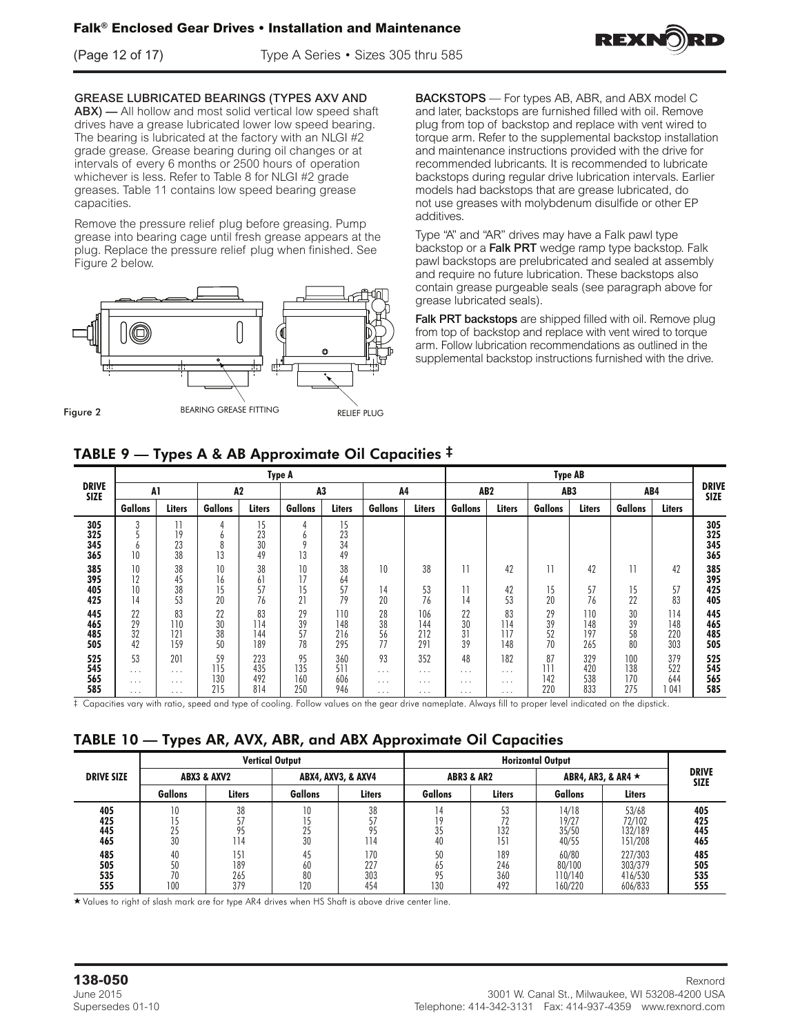

(Page 12 of 17) Type A Series • Sizes 305 thru 585



**GREASE LUBRICATED BEARINGS (TYPES AXV AND** ABX) — All hollow and most solid vertical low speed shaft ABX) The number and most solid vertical low speed shart<br>drives have a grease lubricated lower low speed bearing. anves nave a grease iddicated lower low speed bearing.<br>The bearing is lubricated at the factory with an NLGI #2 grade grease. Grease bearing during oil changes or at intervals of every 6 months or 2500 hours of operation mer value of every undities of 2000 hours of operation<br>whichever is less. Refer to Table 8 for NLGI #2 grade  $\sim$  2500 hours of operation which which is less. The  $\sim$ 

whichever is less. Nefer to fable 6 for NEOF#2 grade<br>greases. Table 11 contains low speed bearing grease capacities. Remove the pressure relief plug before greasing. Pump ases. Table TT contains low speed bearing grease<br>the presented plug. Replace the present

grease into bearing cage until fresh grease appears at the plug. Replace the pressure relief plug when finished. See Figure 2 below.



**BACKSTOPS** — For types AB, ABR, and ABX model C and later, backstops are furnished filled with oil. Remove plug from top of backstop and replace with vent wired to torque arm. Refer to the supplemental backstop installation and maintenance instructions provided with the drive for recommended lubricants. It is recommended to lubricate backstops during regular drive lubrication intervals. Earlier models had backstops that are grease lubricated, do not use greases with molybdenum disulfide or other EP additives.

Type "A" and "AR" drives may have a Falk pawl type backstop or a Falk PRT wedge ramp type backstop. Falk pawl backstops are prelubricated and sealed at assembly and require no future lubrication. These backstops also contain grease purgeable seals (see paragraph above for grease lubricated seals).

Falk PRT backstops are shipped filled with oil. Remove plug from top of backstop and replace with vent wired to torque arm. Follow lubrication recommendations as outlined in the supplemental backstop instructions furnished with the drive.

|                             |                                        |                                         |                         |                          | Type A                   |                          |                                        |                                         |                                        |                                         | <b>Type AB</b>          |                          |                          |                          |                             |
|-----------------------------|----------------------------------------|-----------------------------------------|-------------------------|--------------------------|--------------------------|--------------------------|----------------------------------------|-----------------------------------------|----------------------------------------|-----------------------------------------|-------------------------|--------------------------|--------------------------|--------------------------|-----------------------------|
| <b>DRIVE</b><br><b>SIZE</b> | A1                                     |                                         | A2                      |                          | A3                       |                          |                                        | A4                                      |                                        | AB <sub>2</sub>                         |                         | AB <sub>3</sub>          | AB4                      |                          | <b>DRIVE</b><br><b>SIZE</b> |
|                             | Gallons                                | Liters                                  | Gallons                 | Liters                   | <b>Gallons</b>           | Liters                   | Gallons                                | Liters                                  | Gallons                                | Liters                                  | Gallons                 | Liters                   | Gallons                  | Liters                   |                             |
| 305<br>325<br>345<br>365    | 3<br>n<br>10                           | 11<br>19<br>23<br>38                    | b<br>8<br>13            | 15<br>23<br>30<br>49     | 4<br>b<br>$\Omega$<br>13 | 15<br>23<br>34<br>49     |                                        |                                         |                                        |                                         |                         |                          |                          |                          | 305<br>325<br>345<br>365    |
| 385<br>395<br>405<br>425    | 10<br>12<br>10<br>14                   | 38<br>45<br>38<br>53                    | 10<br>16<br>15<br>20    | 38<br>61<br>57<br>76     | 10<br>17<br>15<br>21     | 38<br>64<br>57<br>79     | 10<br>14<br>20                         | 38<br>53<br>76                          | 11<br>11<br>14                         | 42<br>42<br>53                          | 15<br>20                | 42<br>57<br>76           | 11<br>15<br>22           | 42<br>57<br>83           | 385<br>395<br>425<br>405    |
| 445<br>465<br>485<br>505    | 22<br>29<br>32<br>42                   | 83<br>110<br>121<br>159                 | 22<br>30<br>38<br>50    | 83<br>114<br>144<br>189  | 29<br>39<br>57<br>78     | 110<br>148<br>216<br>295 | 28<br>38<br>56<br>77                   | 106<br>144<br>212<br>291                | 22<br>30<br>31<br>39                   | 83<br>114<br>117<br>148                 | 29<br>39<br>52<br>70    | 110<br>148<br>197<br>265 | 30<br>39<br>58<br>80     | 114<br>148<br>220<br>303 | 445<br>465<br>485<br>505    |
| 525<br>545<br>565<br>585    | 53<br>$\cdots$<br>$\cdots$<br>$\cdots$ | 201<br>$\cdots$<br>$\cdots$<br>$\cdots$ | 59<br>115<br>130<br>215 | 223<br>435<br>492<br>814 | 95<br>135<br>160<br>250  | 360<br>511<br>606<br>946 | 93<br>$\cdots$<br>$\cdots$<br>$\cdots$ | 352<br>$\cdots$<br>$\cdots$<br>$\cdots$ | 48<br>$\cdots$<br>$\cdots$<br>$\cdots$ | 182<br>$\cdots$<br>$\cdots$<br>$\cdots$ | 87<br>111<br>142<br>220 | 329<br>420<br>538<br>833 | 100<br>138<br>170<br>275 | 379<br>522<br>644<br>041 | 525<br>545<br>565<br>585    |

 $\ddagger$  Capacities vary with ratio, speed and type of cooling. Follow values on the gear drive nameplate. Always fill to proper level indicated on the dipstick.

| TABLE 10 - Types AR, AVX, ABR, and ABX Approximate Oil Capacities |
|-------------------------------------------------------------------|
|-------------------------------------------------------------------|

|                          |                       |                         | <b>Vertical Output</b> |                          |                       |                          | <b>Horizontal Output</b>              |                                          |                             |
|--------------------------|-----------------------|-------------------------|------------------------|--------------------------|-----------------------|--------------------------|---------------------------------------|------------------------------------------|-----------------------------|
| <b>DRIVE SIZE</b>        |                       | ABX3 & AXV2             |                        | ABX4, AXV3, & AXV4       |                       | ABR3 & AR2               |                                       | ABR4, AR3, & AR4 $\star$                 | <b>DRIVE</b><br><b>SIZE</b> |
|                          | <b>Gallons</b>        | <b>Liters</b>           | Gallons                | <b>Liters</b>            | <b>Gallons</b>        | <b>Liters</b>            | <b>Gallons</b>                        | <b>Liters</b>                            |                             |
| 405<br>425<br>445<br>465 | 10<br>30              | 38<br>14                | 10<br>25<br>30         | 38<br>57<br>95<br>114    | 4<br>10<br>35<br>40   | 53<br>132<br>151         | 14/18<br>19/27<br>35/50<br>40/55      | 53/68<br>72/102<br>132/189<br>151/208    | 405<br>425<br>445<br>465    |
| 485<br>505<br>535<br>555 | 40<br>50<br>70<br>100 | 51<br>189<br>265<br>379 | 45<br>60<br>80<br>120  | 170<br>227<br>303<br>454 | 50<br>65<br>95<br>130 | 189<br>246<br>360<br>492 | 60/80<br>80/100<br>110/140<br>160/220 | 227/303<br>303/379<br>416/530<br>606/833 | 485<br>505<br>535<br>555    |

Solid Shaft Hollow Shaft

Solid Shaft Hollow Shaft

Values to right of slash mark are for type AR4 drives when HS Shaft is above drive center line. Values to right of slash mark are for type AR4 drives when HS Shaft is above drive center line.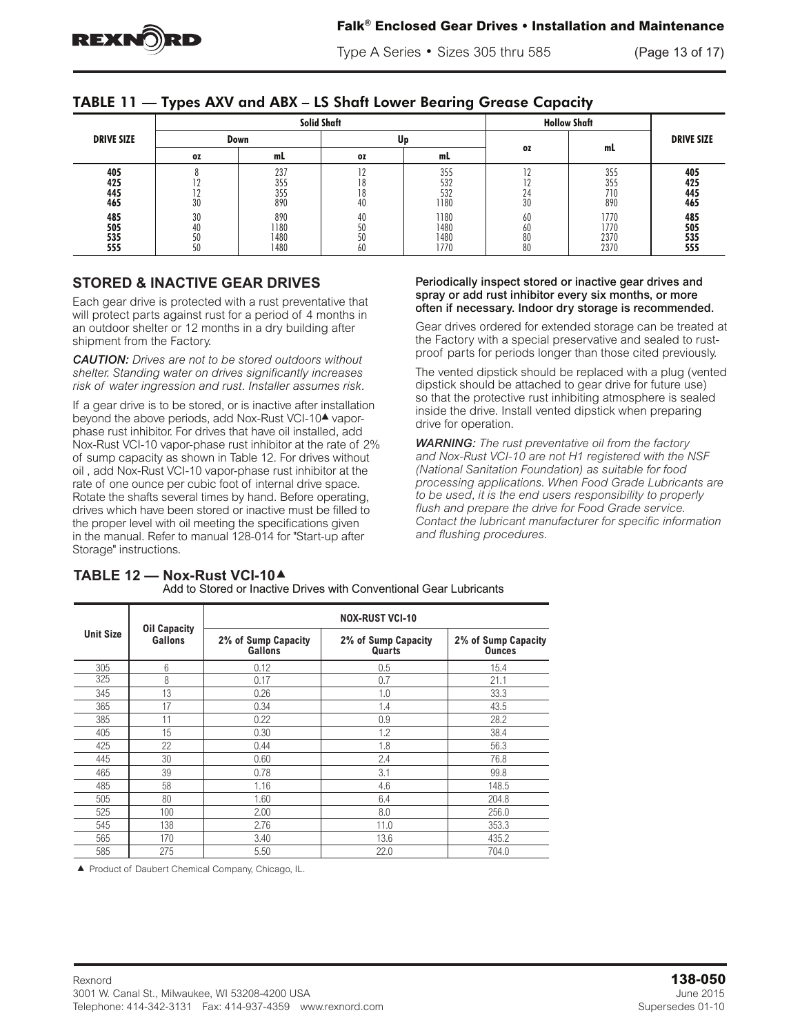

Type A Series • Sizes 305 thru 585 (Page 13 of 17)  $V_{\rm H}$  are for type AR4 drives when HS Shaft is above driven to the shaft is above driven center line.

|  | TABLE 11 — Types AXV and ABX – LS Shaft Lower Bearing Grease Capacity |  |
|--|-----------------------------------------------------------------------|--|
|--|-----------------------------------------------------------------------|--|

|                          |                      |                             | Solid Shaft |                              | <b>Hollow Shaft</b>  |                              |                          |  |
|--------------------------|----------------------|-----------------------------|-------------|------------------------------|----------------------|------------------------------|--------------------------|--|
| <b>DRIVE SIZE</b>        |                      | Down                        | Up          |                              |                      |                              | <b>DRIVE SIZE</b>        |  |
|                          | 0Z                   | mL                          | <b>OZ</b>   | mL                           | 0Z                   | mL                           |                          |  |
| 405<br>425<br>445<br>465 | 1 L<br>30            | 237<br>355<br>355<br>890    |             | 355<br>532<br>532<br>1180    | ה ד<br>24<br>30      | 355<br>355<br>710<br>890     | 405<br>425<br>445<br>465 |  |
| 485<br>505<br>535<br>555 | 30<br>40<br>50<br>50 | 890<br>1180<br>1480<br>1480 | 60          | 1180<br>1480<br>1480<br>1770 | 60<br>60<br>80<br>80 | 1770<br>1770<br>2370<br>2370 | 485<br>505<br>535<br>555 |  |

## **STORED & INACTIVE GEAR DRIVES**

Each gear drive is protected with a rust preventative that will protect parts against rust for a period of 4 months in an outdoor shelter or 12 months in a dry building after shipment from the Factory.

*CAUTION: Drives are not to be stored outdoors without shelter. Standing water on drives significantly increases risk of water ingression and rust. Installer assumes risk.* 

If a gear drive is to be stored, or is inactive after installation beyond the above periods, add Nox-Rust VCI-10<sup>4</sup> vaporphase rust inhibitor. For drives that have oil installed, add Nox-Rust VCI-10 vapor-phase rust inhibitor at the rate of 2% of sump capacity as shown in Table 12. For drives without oil , add Nox-Rust VCI-10 vapor-phase rust inhibitor at the rate of one ounce per cubic foot of internal drive space. drives which have been stored or inactive must be filled to the proper level with oil meeting the specifications given ing proper force with off modifing the opcomoditions given<br>in the manual. Refer to manual 128-014 for "Start-up after and flushing procedures. Storage" instructions.

#### Periodically inspect stored or inactive gear drives and spray or add rust inhibitor every six months, or more often if necessary. Indoor dry storage is recommended.

Gear drives ordered for extended storage can be treated at the Factory with a special preservative and sealed to rustproof parts for periods longer than those cited previously.

The vented dipstick should be replaced with a plug (vented dipstick should be attached to gear drive for future use) so that the protective rust inhibiting atmosphere is sealed inside the drive. Install vented dipstick when preparing drive for operation.

Rotate the shafts several times by hand. Before operating, the be used, it is the end users responsibility to properly<br>alives which have been stared as inesting must be filled to the flush and prepare the drive for Eood Gr dives which have been stored of mactive mast be fined to the contact the lubricant manufacturer for specific information the proper level with oil meeting the specifications given *WARNING: The rust preventative oil from the factory and Nox-Rust VCI-10 are not H1 registered with the NSF (National Sanitation Foundation) as suitable for food processing applications. When Food Grade Lubricants are to be used, it is the end users responsibility to properly flush and prepare the drive for Food Grade service. and flushing procedures.*

|                  | <b>Oil Capacity</b> | <b>NOX-RUST VCI-10</b>                |                               |                                      |  |  |  |  |
|------------------|---------------------|---------------------------------------|-------------------------------|--------------------------------------|--|--|--|--|
| <b>Unit Size</b> | Gallons             | 2% of Sump Capacity<br><b>Gallons</b> | 2% of Sump Capacity<br>Quarts | 2% of Sump Capacity<br><b>Ounces</b> |  |  |  |  |
| 305              | 6                   | 0.12                                  | 0.5                           | 15.4                                 |  |  |  |  |
| 325              | 8                   | 0.17                                  | 0.7                           | 21.1                                 |  |  |  |  |
| 345              | 13                  | 0.26                                  | 1.0                           | 33.3                                 |  |  |  |  |
| 365              | 17                  | 0.34                                  | 1.4                           | 43.5                                 |  |  |  |  |
| 385              | 11                  | 0.22                                  | 0.9                           | 28.2                                 |  |  |  |  |
| 405              | 15                  | 0.30                                  | 1.2                           | 38.4                                 |  |  |  |  |
| 425              | 22                  | 0.44                                  | 1.8                           | 56.3                                 |  |  |  |  |
| 445              | 30                  | 0.60                                  | 2.4                           | 76.8                                 |  |  |  |  |
| 465              | 39                  | 0.78                                  | 3.1                           | 99.8                                 |  |  |  |  |
| 485              | 58                  | 1.16                                  | 4.6                           | 148.5                                |  |  |  |  |
| 505              | 80                  | 1.60                                  | 6.4                           | 204.8                                |  |  |  |  |
| 525              | 100                 | 2.00                                  | 8.0                           | 256.0                                |  |  |  |  |
| 545              | 138                 | 2.76                                  | 11.0                          | 353.3                                |  |  |  |  |
| 565              | 170                 | 3.40                                  | 13.6                          | 435.2                                |  |  |  |  |
| 585              | 275                 | 5.50                                  | 22.0                          | 704.0                                |  |  |  |  |

#### **TABLE 12 — Nox-Rust VCI-10**<sup>s</sup> Add to Stored or Inactive Drives with Conventional Gear Lubricants

▲ Product of Daubert Chemical Company, Chicago, IL.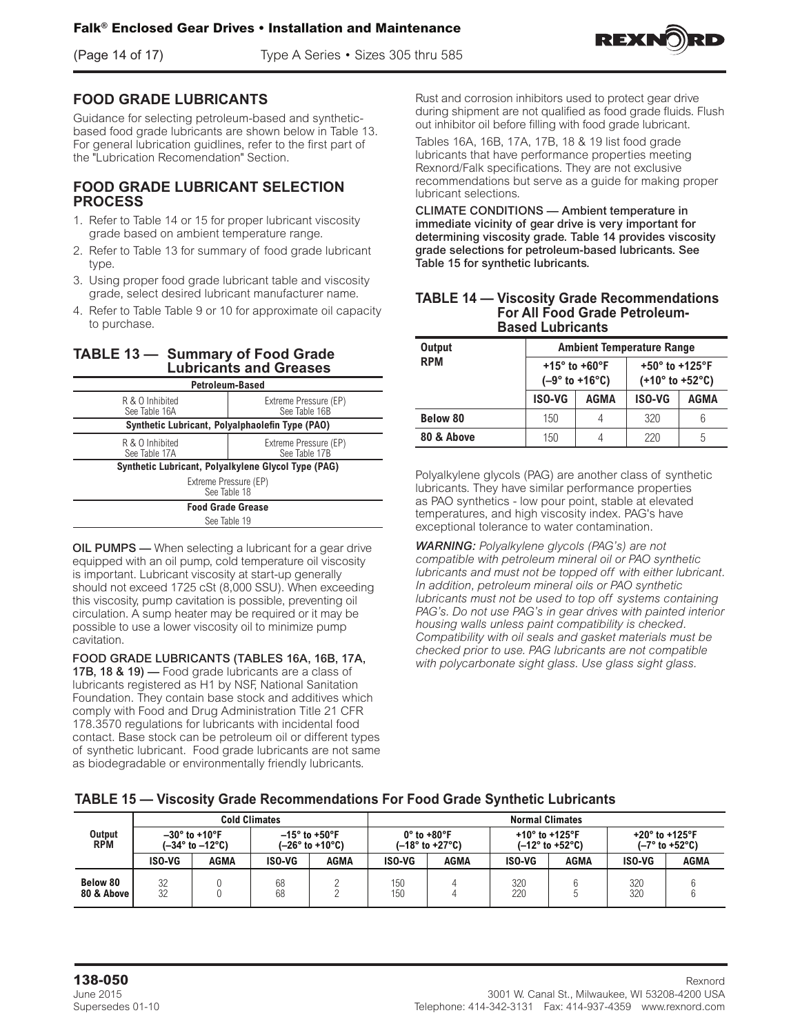

### **FOOD GRADE LUBRICANTS**

Guidance for selecting petroleum-based and syntheticbased food grade lubricants are shown below in Table 13. For general lubrication guidlines, refer to the first part of the "Lubrication Recomendation" Section.

### **FOOD GRADE LUBRICANT SELECTION PROCESS**

- 1. Refer to Table 14 or 15 for proper lubricant viscosity grade based on ambient temperature range.
- 2. Refer to Table 13 for summary of food grade lubricant type.
- 3. Using proper food grade lubricant table and viscosity grade, select desired lubricant manufacturer name.
- 4. Refer to Table Table 9 or 10 for approximate oil capacity to purchase.

### **TABLE 13 — Summary of Food Grade Lubricants and Greases**

| <b>Petroleum-Based</b>                              |                                        |  |  |  |  |
|-----------------------------------------------------|----------------------------------------|--|--|--|--|
| R & O Inhibited<br>See Table 16A                    | Extreme Pressure (EP)<br>See Table 16B |  |  |  |  |
| Synthetic Lubricant, Polyalphaolefin Type (PAO)     |                                        |  |  |  |  |
| R & O Inhibited<br>See Table 17A                    | Extreme Pressure (EP)<br>See Table 17B |  |  |  |  |
| Synthetic Lubricant, Polyalkylene Glycol Type (PAG) |                                        |  |  |  |  |
| Extreme Pressure (EP)<br>See Table 18               |                                        |  |  |  |  |
|                                                     | <b>Food Grade Grease</b>               |  |  |  |  |
| See Table 19                                        |                                        |  |  |  |  |

OIL PUMPS — When selecting a lubricant for a gear drive equipped with an oil pump, cold temperature oil viscosity is important. Lubricant viscosity at start-up generally should not exceed 1725 cSt (8,000 SSU). When exceeding this viscosity, pump cavitation is possible, preventing oil circulation. A sump heater may be required or it may be possible to use a lower viscosity oil to minimize pump cavitation.

FOOD GRADE LUBRICANTS (TABLES 16A, 16B, 17A, 17B, 18 & 19) — Food grade lubricants are a class of lubricants registered as H1 by NSF, National Sanitation Foundation. They contain base stock and additives which comply with Food and Drug Administration Title 21 CFR 178.3570 regulations for lubricants with incidental food contact. Base stock can be petroleum oil or different types of synthetic lubricant. Food grade lubricants are not same as biodegradable or environmentally friendly lubricants.

Rust and corrosion inhibitors used to protect gear drive during shipment are not qualified as food grade fluids. Flush out inhibitor oil before filling with food grade lubricant.

Tables 16A, 16B, 17A, 17B, 18 & 19 list food grade lubricants that have performance properties meeting Rexnord/Falk specifications. They are not exclusive recommendations but serve as a guide for making proper lubricant selections.

CLIMATE CONDITIONS — Ambient temperature in immediate vicinity of gear drive is very important for determining viscosity grade. Table 14 provides viscosity grade selections for petroleum-based lubricants. See Table 15 for synthetic lubricants.

| <b>TABLE 14 - Viscosity Grade Recommendations</b> |
|---------------------------------------------------|
| <b>For All Food Grade Petroleum-</b>              |
| <b>Based Lubricants</b>                           |

| <b>Output</b>   | <b>Ambient Temperature Range</b> |                                                       |                                                                           |      |  |
|-----------------|----------------------------------|-------------------------------------------------------|---------------------------------------------------------------------------|------|--|
| <b>RPM</b>      |                                  | +15 $^{\circ}$ to +60 $^{\circ}$ F<br>$(-9° to +16°)$ | +50 $^{\circ}$ to +125 $^{\circ}$ F<br>$(+10^{\circ}$ to $+52^{\circ}$ C) |      |  |
|                 | <b>ISO-VG</b>                    | AGMA                                                  | <b>ISO-VG</b>                                                             | AGMA |  |
| <b>Below 80</b> | 150                              | 4                                                     | 320                                                                       | 6    |  |
| 80 & Above      | 150                              | 4                                                     | 220                                                                       | 5    |  |

Polyalkylene glycols (PAG) are another class of synthetic lubricants. They have similar performance properties as PAO synthetics - low pour point, stable at elevated temperatures, and high viscosity index. PAG's have exceptional tolerance to water contamination.

*WARNING: Polyalkylene glycols (PAG's) are not compatible with petroleum mineral oil or PAO synthetic lubricants and must not be topped off with either lubricant. In addition, petroleum mineral oils or PAO synthetic lubricants must not be used to top off systems containing PAG's. Do not use PAG's in gear drives with painted interior housing walls unless paint compatibility is checked. Compatibility with oil seals and gasket materials must be checked prior to use. PAG lubricants are not compatible with polycarbonate sight glass. Use glass sight glass.*

### **TABLE 15 — Viscosity Grade Recommendations For Food Grade Synthetic Lubricants**

|                        | <b>Cold Climates</b> |                                                            |          | <b>Normal Climates</b>                    |            |                                                                    |                                     |                                     |                                     |                                |
|------------------------|----------------------|------------------------------------------------------------|----------|-------------------------------------------|------------|--------------------------------------------------------------------|-------------------------------------|-------------------------------------|-------------------------------------|--------------------------------|
| Output<br><b>RPM</b>   |                      | $-30^\circ$ to +10°F<br>$(-34^{\circ}$ to $-12^{\circ}$ C) |          | $-15^\circ$ to +50°F<br>$(-26° to +10°C)$ |            | $0^\circ$ to +80 $^\circ$ F<br>$(-18^{\circ}$ to +27 $^{\circ}$ C) | +10 $^{\circ}$ to +125 $^{\circ}$ F | $(-12^{\circ}$ to +52 $^{\circ}$ C) | +20 $^{\circ}$ to +125 $^{\circ}$ F | $(-7^\circ$ to +52 $^\circ$ C) |
|                        | ISO-VG               | AGMA                                                       | ISO-VG   | AGMA                                      | ISO-VG     | AGMA                                                               | ISO-VG                              | AGMA                                | ISO-VG                              | AGMA                           |
| Below 80<br>80 & Above | 32<br>32             |                                                            | 68<br>68 |                                           | 150<br>150 |                                                                    | 320<br>220                          |                                     | 320<br>320                          |                                |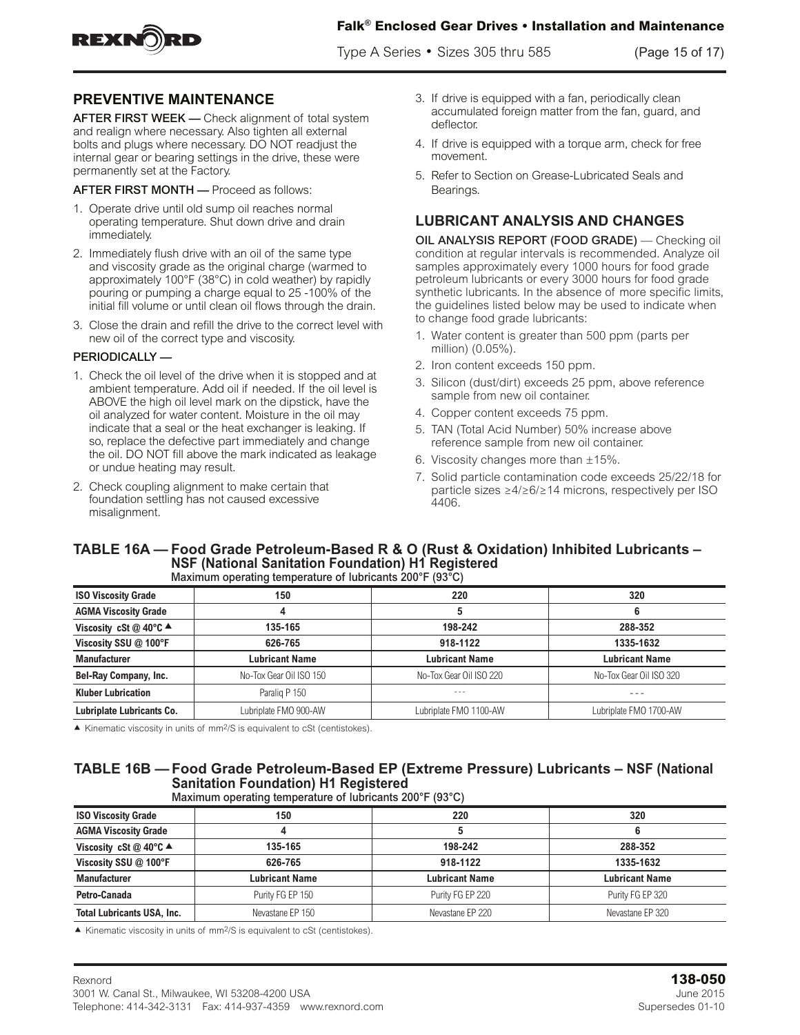

Type A Series • Sizes 305 thru 585 (Page 15 of 17)



## **PREVENTIVE MAINTENANCE**

AFTER FIRST WEEK - Check alignment of total system and realign where necessary. Also tighten all external bolts and plugs where necessary. DO NOT readjust the internal gear or bearing settings in the drive, these were permanently set at the Factory.

AFTER FIRST MONTH — Proceed as follows:

- 1. Operate drive until old sump oil reaches normal operating temperature. Shut down drive and drain immediately.
- 2. Immediately flush drive with an oil of the same type and viscosity grade as the original charge (warmed to approximately 100°F (38°C) in cold weather) by rapidly pouring or pumping a charge equal to 25 -100% of the initial fill volume or until clean oil flows through the drain.
- 3. Close the drain and refill the drive to the correct level with new oil of the correct type and viscosity.

### PERIODICALLY —

- 1. Check the oil level of the drive when it is stopped and at ambient temperature. Add oil if needed. If the oil level is ABOVE the high oil level mark on the dipstick, have the oil analyzed for water content. Moisture in the oil may indicate that a seal or the heat exchanger is leaking. If so, replace the defective part immediately and change the oil. DO NOT fill above the mark indicated as leakage or undue heating may result.
- 2. Check coupling alignment to make certain that foundation settling has not caused excessive misalignment.
- 3. If drive is equipped with a fan, periodically clean accumulated foreign matter from the fan, guard, and deflector.
- 4. If drive is equipped with a torque arm, check for free movement.
- 5. Refer to Section on Grease-Lubricated Seals and Bearings.

### **LUBRICANT ANALYSIS AND CHANGES**

OIL ANALYSIS REPORT (FOOD GRADE) — Checking oil condition at regular intervals is recommended. Analyze oil samples approximately every 1000 hours for food grade petroleum lubricants or every 3000 hours for food grade synthetic lubricants. In the absence of more specific limits, the guidelines listed below may be used to indicate when to change food grade lubricants:

- 1. Water content is greater than 500 ppm (parts per million) (0.05%).
- 2. Iron content exceeds 150 ppm.
- 3. Silicon (dust/dirt) exceeds 25 ppm, above reference sample from new oil container.
- 4. Copper content exceeds 75 ppm.
- 5. TAN (Total Acid Number) 50% increase above reference sample from new oil container.
- 6. Viscosity changes more than  $\pm 15\%$ .
- 7. Solid particle contamination code exceeds 25/22/18 for particle sizes ≥4/≥6/≥14 microns, respectively per ISO 4406.

### **TABLE 16A — Food Grade Petroleum-Based R & O (Rust & Oxidation) Inhibited Lubricants – NSF (National Sanitation Foundation) H1 Registered** Maximum operating temperature of lubricants 200°F (93°C)

| <b>ISO Viscosity Grade</b>                 | 150                     | 220                     | 320                     |
|--------------------------------------------|-------------------------|-------------------------|-------------------------|
| <b>AGMA Viscosity Grade</b>                |                         |                         | 6                       |
| Viscosity cSt @ 40 $\degree$ C $\triangle$ | 135-165                 | 198-242                 | 288-352                 |
| Viscosity SSU @ 100°F                      | 626-765                 | 918-1122                | 1335-1632               |
| <b>Manufacturer</b>                        | <b>Lubricant Name</b>   | Lubricant Name          | <b>Lubricant Name</b>   |
| <b>Bel-Ray Company, Inc.</b>               | No-Tox Gear Oil ISO 150 | No-Tox Gear Oil ISO 220 | No-Tox Gear Oil ISO 320 |
| <b>Kluber Lubrication</b>                  | Paralig P 150           | $- - -$                 | $- - -$                 |
| Lubriplate Lubricants Co.                  | Lubriplate FMO 900-AW   | Lubriplate FMO 1100-AW  | Lubriplate FMO 1700-AW  |

 $\blacktriangle$  Kinematic viscosity in units of mm<sup>2</sup>/S is equivalent to cSt (centistokes).

## **TABLE 16B — Food Grade Petroleum-Based EP (Extreme Pressure) Lubricants – NSF (National Sanitation Foundation) H1 Registered**

Maximum operating temperature of lubricants 200°F (93°C)

| <b>ISO Viscosity Grade</b>                 | 150              | 220                   | 320                   |
|--------------------------------------------|------------------|-----------------------|-----------------------|
| <b>AGMA Viscosity Grade</b>                |                  |                       |                       |
| Viscosity cSt @ 40 $\degree$ C $\triangle$ | 135-165          | 198-242               | 288-352               |
| Viscosity SSU @ 100°F                      | 626-765          | 918-1122              | 1335-1632             |
| <b>Manufacturer</b>                        | Lubricant Name   | <b>Lubricant Name</b> | <b>Lubricant Name</b> |
| Petro-Canada                               | Purity FG EP 150 | Purity FG EP 220      | Purity FG EP 320      |
| <b>Total Lubricants USA, Inc.</b>          | Nevastane EP 150 | Nevastane EP 220      | Nevastane EP 320      |

 $\blacktriangle$  Kinematic viscosity in units of mm<sup>2</sup>/S is equivalent to cSt (centistokes).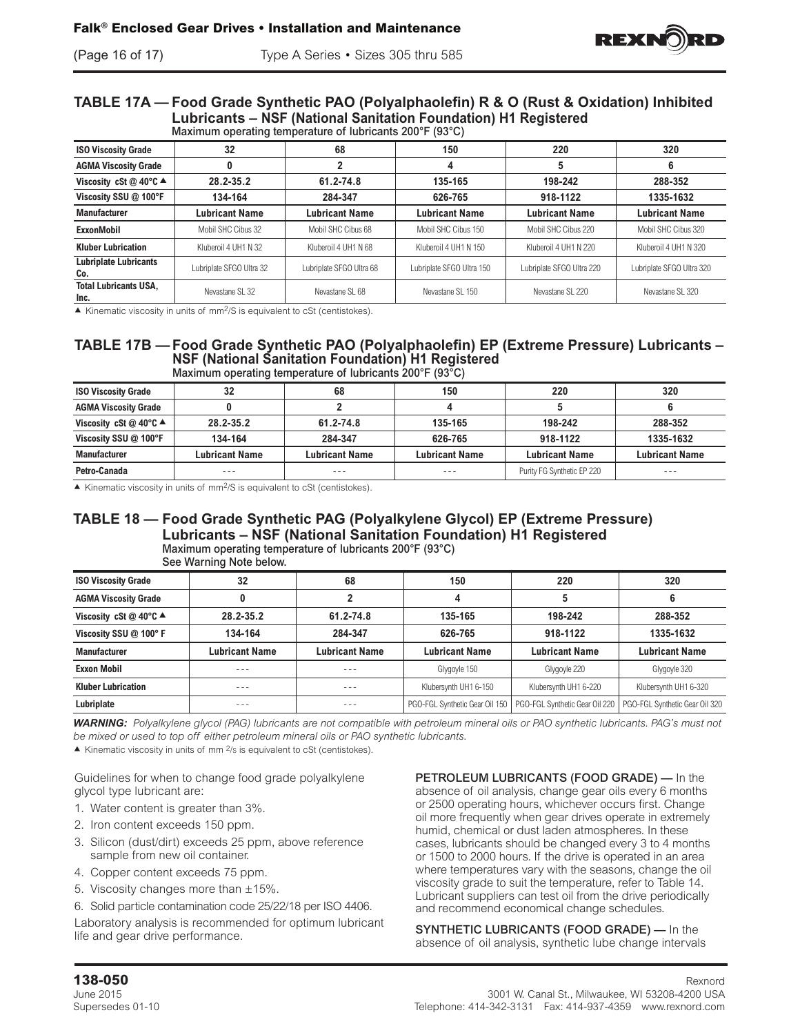

### **TABLE 17A — Food Grade Synthetic PAO (Polyalphaolefin) R & O (Rust & Oxidation) Inhibited Lubricants – NSF (National Sanitation Foundation) H1 Registered** Maximum operating temperature of lubricants 200°F (93°C)

|                                            |                          | maximum operating temperature or rubilicante 200 + 100 O) |                           |                           |                           |
|--------------------------------------------|--------------------------|-----------------------------------------------------------|---------------------------|---------------------------|---------------------------|
| <b>ISO Viscosity Grade</b>                 | 32                       | 68                                                        | 150                       | 220                       | 320                       |
| <b>AGMA Viscosity Grade</b>                |                          |                                                           |                           |                           |                           |
| Viscosity cSt @ 40 $\degree$ C $\triangle$ | 28.2-35.2                | 61.2-74.8                                                 | 135-165                   | 198-242                   | 288-352                   |
| Viscosity SSU @ 100°F                      | 134-164                  | 284-347                                                   | 626-765                   | 918-1122                  | 1335-1632                 |
| <b>Manufacturer</b>                        | <b>Lubricant Name</b>    | <b>Lubricant Name</b>                                     | <b>Lubricant Name</b>     | <b>Lubricant Name</b>     | <b>Lubricant Name</b>     |
| <b>ExxonMobil</b>                          | Mobil SHC Cibus 32       | Mobil SHC Cibus 68                                        | Mobil SHC Cibus 150       | Mobil SHC Cibus 220       | Mobil SHC Cibus 320       |
| <b>Kluber Lubrication</b>                  | Kluberoil 4 UH1 N 32     | Kluberoil 4 UH1 N 68                                      | Kluberoil 4 UH1 N 150     | Kluberoil 4 UH1 N 220     | Kluberoil 4 UH1 N 320     |
| <b>Lubriplate Lubricants</b><br>Co.        | Lubriplate SFGO Ultra 32 | Lubriplate SFGO Ultra 68                                  | Lubriplate SFGO Ultra 150 | Lubriplate SFGO Ultra 220 | Lubriplate SFGO Ultra 320 |
| <b>Total Lubricants USA,</b><br>Inc.       | Nevastane SL 32          | Nevastane SL 68                                           | Nevastane SL 150          | Nevastane SL 220          | Nevastane SL 320          |

 $\blacktriangle$  Kinematic viscosity in units of mm<sup>2</sup>/S is equivalent to cSt (centistokes).

### **TABLE 17B — Food Grade Synthetic PAO (Polyalphaolefin) EP (Extreme Pressure) Lubricants – NSF (National Sanitation Foundation) H1 Registered** Maximum operating temperature of lubricants 200°F (93<sup>°</sup>C)

| <b>ISO Viscosity Grade</b>                 |                       | 68                    | 150                   | 220                        | 320                   |
|--------------------------------------------|-----------------------|-----------------------|-----------------------|----------------------------|-----------------------|
| <b>AGMA Viscosity Grade</b>                |                       |                       |                       |                            |                       |
| Viscosity cSt @ 40 $\degree$ C $\triangle$ | 28.2-35.2             | 61.2-74.8             | 135-165               | 198-242                    | 288-352               |
| Viscosity SSU @ 100°F                      | 134-164               | 284-347               | 626-765               | 918-1122                   | 1335-1632             |
| <b>Manufacturer</b>                        | <b>Lubricant Name</b> | <b>Lubricant Name</b> | <b>Lubricant Name</b> | <b>Lubricant Name</b>      | <b>Lubricant Name</b> |
| Petro-Canada                               | ---                   | ---                   | ---                   | Purity FG Synthetic EP 220 | ---                   |

 $\blacktriangle$  Kinematic viscosity in units of mm<sup>2</sup>/S is equivalent to cSt (centistokes).

### **TABLE 18 — Food Grade Synthetic PAG (Polyalkylene Glycol) EP (Extreme Pressure) Lubricants – NSF (National Sanitation Foundation) H1 Registered** Maximum operating temperature of lubricants 200°F (93°C)

|                                  | ORE MAILING NOTE DEIGM. |                       |                                |                                |                                |
|----------------------------------|-------------------------|-----------------------|--------------------------------|--------------------------------|--------------------------------|
| <b>ISO Viscosity Grade</b>       | 32                      | 68                    | 150                            | 220                            | 320                            |
| <b>AGMA Viscosity Grade</b>      |                         |                       |                                |                                |                                |
| Viscosity cSt @ 40°C $\triangle$ | 28.2-35.2               | 61.2-74.8             | 135-165                        | 198-242                        | 288-352                        |
| Viscosity SSU @ 100° F           | 134-164                 | 284-347               | 626-765                        | 918-1122                       | 1335-1632                      |
| <b>Manufacturer</b>              | Lubricant Name          | <b>Lubricant Name</b> | Lubricant Name                 | Lubricant Name                 | <b>Lubricant Name</b>          |
| <b>Exxon Mobil</b>               | - - -                   | ---                   | Glygoyle 150                   | Glygoyle 220                   | Glygoyle 320                   |
| <b>Kluber Lubrication</b>        | ---                     | - - -                 | Klubersvnth UH1 6-150          | Klubersynth UH1 6-220          | Klubersynth UH1 6-320          |
| Lubriplate                       |                         |                       | PGO-FGL Synthetic Gear Oil 150 | PGO-FGL Synthetic Gear Oil 220 | PGO-FGL Synthetic Gear Oil 320 |

See Warning Note below.

*WARNING: Polyalkylene glycol (PAG) lubricants are not compatible with petroleum mineral oils or PAO synthetic lubricants. PAG's must not be mixed or used to top off either petroleum mineral oils or PAO synthetic lubricants.* 

 $\blacktriangle$  Kinematic viscosity in units of mm  $2/s$  is equivalent to cSt (centistokes).

Guidelines for when to change food grade polyalkylene glycol type lubricant are:

- 1. Water content is greater than 3%.
- 2. Iron content exceeds 150 ppm.
- 3. Silicon (dust/dirt) exceeds 25 ppm, above reference sample from new oil container.
- 4. Copper content exceeds 75 ppm.
- 5. Viscosity changes more than  $\pm 15\%$ .

6. Solid particle contamination code 25/22/18 per ISO 4406.

Laboratory analysis is recommended for optimum lubricant life and gear drive performance.

PETROLEUM LUBRICANTS (FOOD GRADE) — In the absence of oil analysis, change gear oils every 6 months or 2500 operating hours, whichever occurs first. Change oil more frequently when gear drives operate in extremely humid, chemical or dust laden atmospheres. In these cases, lubricants should be changed every 3 to 4 months or 1500 to 2000 hours. If the drive is operated in an area where temperatures vary with the seasons, change the oil viscosity grade to suit the temperature, refer to Table 14. Lubricant suppliers can test oil from the drive periodically and recommend economical change schedules.

SYNTHETIC LUBRICANTS (FOOD GRADE) — In the absence of oil analysis, synthetic lube change intervals